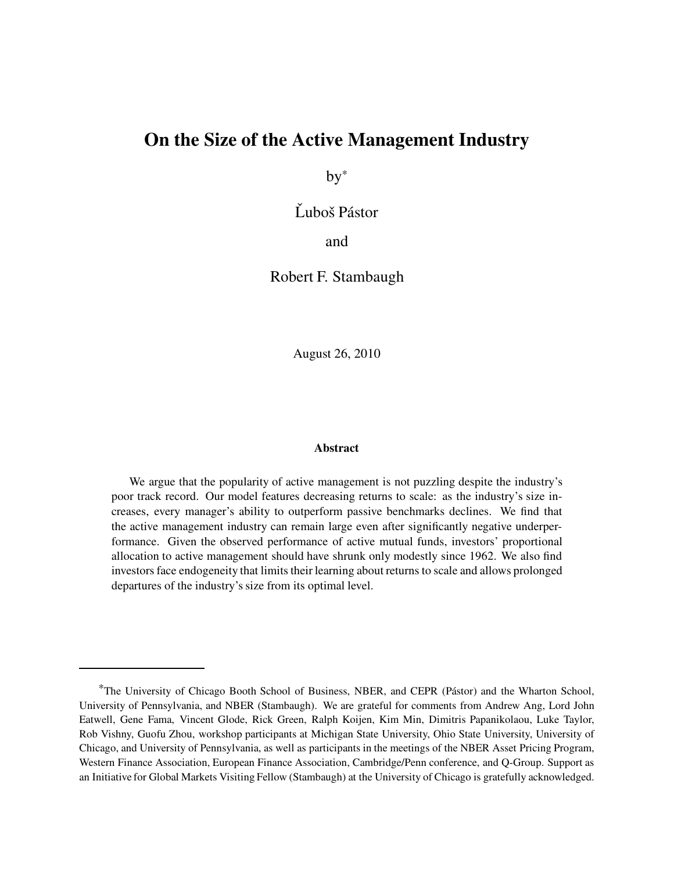## On the Size of the Active Management Industry

by\*

Ľuboš Pástor

and

Robert F. Stambaugh

August 26, 2010

#### Abstract

We argue that the popularity of active management is not puzzling despite the industry's poor track record. Our model features decreasing returns to scale: as the industry's size increases, every manager's ability to outperform passive benchmarks declines. We find that the active management industry can remain large even after significantly negative underperformance. Given the observed performance of active mutual funds, investors' proportional allocation to active management should have shrunk only modestly since 1962. We also find investors face endogeneity that limits their learning about returns to scale and allows prolonged departures of the industry's size from its optimal level.

<sup>&</sup>lt;sup>\*</sup>The University of Chicago Booth School of Business, NBER, and CEPR (Pástor) and the Wharton School, University of Pennsylvania, and NBER (Stambaugh). We are grateful for comments from Andrew Ang, Lord John Eatwell, Gene Fama, Vincent Glode, Rick Green, Ralph Koijen, Kim Min, Dimitris Papanikolaou, Luke Taylor, Rob Vishny, Guofu Zhou, workshop participants at Michigan State University, Ohio State University, University of Chicago, and University of Pennsylvania, as well as participants in the meetings of the NBER Asset Pricing Program, Western Finance Association, European Finance Association, Cambridge/Penn conference, and Q-Group. Support as an Initiative for Global Markets Visiting Fellow (Stambaugh) at the University of Chicago is gratefully acknowledged.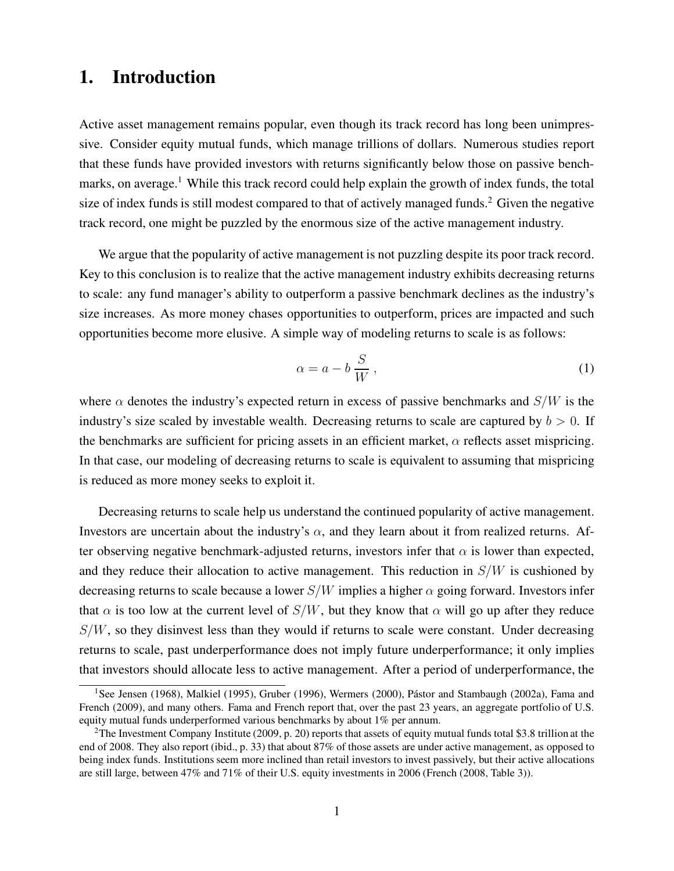# 1. Introduction

Active asset management remains popular, even though its track record has long been unimpressive. Consider equity mutual funds, which manage trillions of dollars. Numerous studies report that these funds have provided investors with returns significantly below those on passive benchmarks, on average.<sup>1</sup> While this track record could help explain the growth of index funds, the total size of index funds is still modest compared to that of actively managed funds.<sup>2</sup> Given the negative track record, one might be puzzled by the enormous size of the active management industry.

We argue that the popularity of active management is not puzzling despite its poor track record. Key to this conclusion is to realize that the active management industry exhibits decreasing returns to scale: any fund manager's ability to outperform a passive benchmark declines as the industry's size increases. As more money chases opportunities to outperform, prices are impacted and such opportunities become more elusive. A simple way of modeling returns to scale is as follows:

$$
\alpha = a - b \frac{S}{W},\tag{1}
$$

where  $\alpha$  denotes the industry's expected return in excess of passive benchmarks and  $S/W$  is the industry's size scaled by investable wealth. Decreasing returns to scale are captured by  $b > 0$ . If the benchmarks are sufficient for pricing assets in an efficient market,  $\alpha$  reflects asset mispricing. In that case, our modeling of decreasing returns to scale is equivalent to assuming that mispricing is reduced as more money seeks to exploit it.

Decreasing returns to scale help us understand the continued popularity of active management. Investors are uncertain about the industry's  $\alpha$ , and they learn about it from realized returns. After observing negative benchmark-adjusted returns, investors infer that  $\alpha$  is lower than expected, and they reduce their allocation to active management. This reduction in  $S/W$  is cushioned by decreasing returns to scale because a lower  $S/W$  implies a higher  $\alpha$  going forward. Investors infer that  $\alpha$  is too low at the current level of  $S/W$ , but they know that  $\alpha$  will go up after they reduce  $S/W$ , so they disinvest less than they would if returns to scale were constant. Under decreasing returns to scale, past underperformance does not imply future underperformance; it only implies that investors should allocate less to active management. After a period of underperformance, the

<sup>&</sup>lt;sup>1</sup>See Jensen (1968), Malkiel (1995), Gruber (1996), Wermers (2000), Pástor and Stambaugh (2002a), Fama and French (2009), and many others. Fama and French report that, over the past 23 years, an aggregate portfolio of U.S. equity mutual funds underperformed various benchmarks by about 1% per annum.

<sup>&</sup>lt;sup>2</sup>The Investment Company Institute (2009, p. 20) reports that assets of equity mutual funds total \$3.8 trillion at the end of 2008. They also report (ibid., p. 33) that about 87% of those assets are under active management, as opposed to being index funds. Institutions seem more inclined than retail investors to invest passively, but their active allocations are still large, between 47% and 71% of their U.S. equity investments in 2006 (French (2008, Table 3)).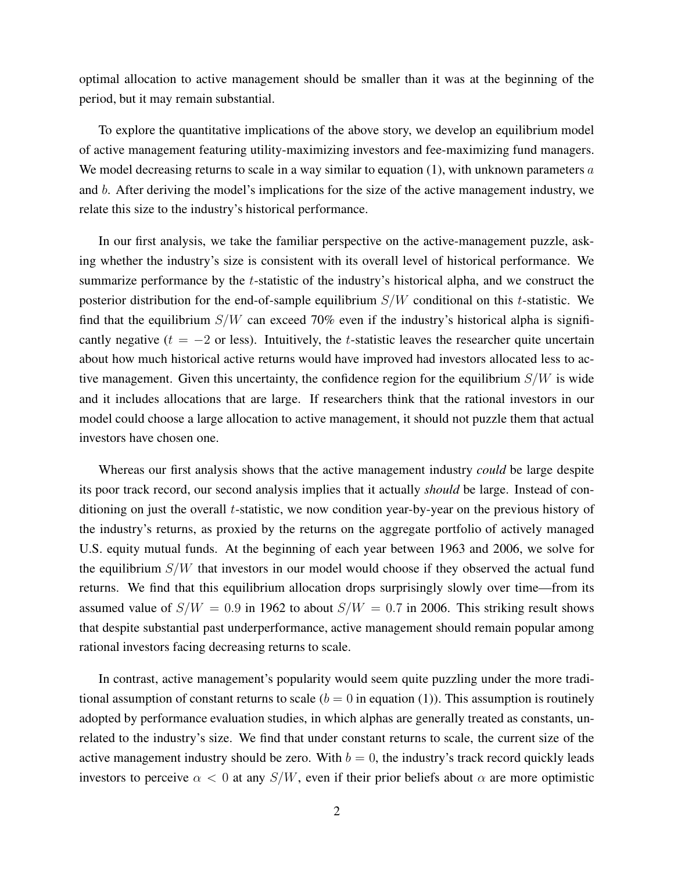optimal allocation to active management should be smaller than it was at the beginning of the period, but it may remain substantial.

To explore the quantitative implications of the above story, we develop an equilibrium model of active management featuring utility-maximizing investors and fee-maximizing fund managers. We model decreasing returns to scale in a way similar to equation  $(1)$ , with unknown parameters a and b. After deriving the model's implications for the size of the active management industry, we relate this size to the industry's historical performance.

In our first analysis, we take the familiar perspective on the active-management puzzle, asking whether the industry's size is consistent with its overall level of historical performance. We summarize performance by the *t*-statistic of the industry's historical alpha, and we construct the posterior distribution for the end-of-sample equilibrium  $S/W$  conditional on this t-statistic. We find that the equilibrium  $S/W$  can exceed 70% even if the industry's historical alpha is significantly negative ( $t = -2$  or less). Intuitively, the t-statistic leaves the researcher quite uncertain about how much historical active returns would have improved had investors allocated less to active management. Given this uncertainty, the confidence region for the equilibrium  $S/W$  is wide and it includes allocations that are large. If researchers think that the rational investors in our model could choose a large allocation to active management, it should not puzzle them that actual investors have chosen one.

Whereas our first analysis shows that the active management industry *could* be large despite its poor track record, our second analysis implies that it actually should be large. Instead of conditioning on just the overall *t*-statistic, we now condition year-by-year on the previous history of the industry's returns, as proxied by the returns on the aggregate portfolio of actively managed U.S. equity mutual funds. At the beginning of each year between 1963 and 2006, we solve for the equilibrium  $S/W$  that investors in our model would choose if they observed the actual fund returns. We find that this equilibrium allocation drops surprisingly slowly over time—from its assumed value of  $S/W = 0.9$  in 1962 to about  $S/W = 0.7$  in 2006. This striking result shows that despite substantial past underperformance, active management should remain popular among rational investors facing decreasing returns to scale.

In contrast, active management's popularity would seem quite puzzling under the more traditional assumption of constant returns to scale  $(b = 0$  in equation (1)). This assumption is routinely adopted by performance evaluation studies, in which alphas are generally treated as constants, unrelated to the industry's size. We find that under constant returns to scale, the current size of the active management industry should be zero. With  $b = 0$ , the industry's track record quickly leads investors to perceive  $\alpha < 0$  at any  $S/W$ , even if their prior beliefs about  $\alpha$  are more optimistic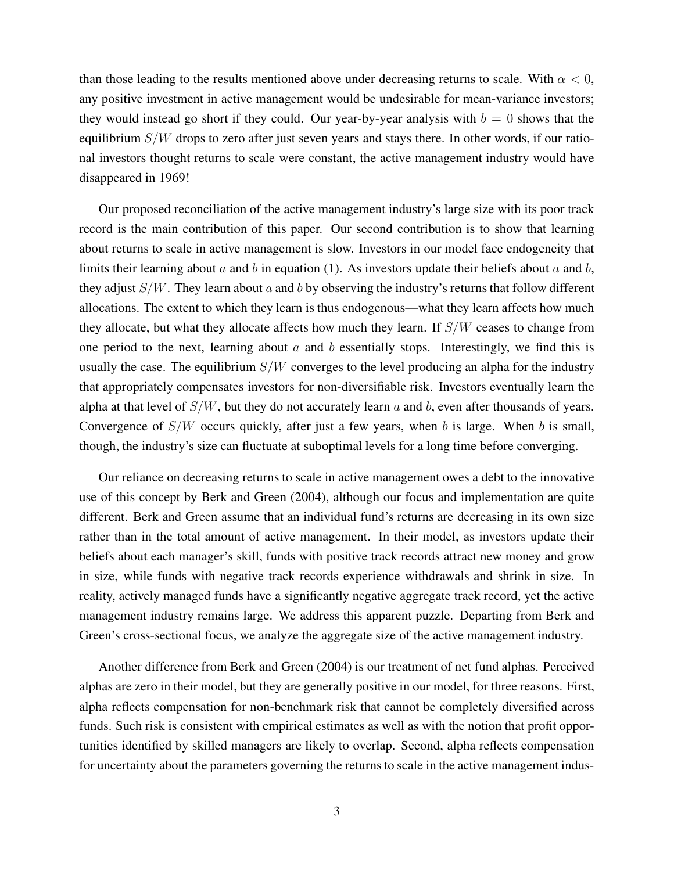than those leading to the results mentioned above under decreasing returns to scale. With  $\alpha < 0$ , any positive investment in active management would be undesirable for mean-variance investors; they would instead go short if they could. Our year-by-year analysis with  $b = 0$  shows that the equilibrium  $S/W$  drops to zero after just seven years and stays there. In other words, if our rational investors thought returns to scale were constant, the active management industry would have disappeared in 1969!

Our proposed reconciliation of the active management industry's large size with its poor track record is the main contribution of this paper. Our second contribution is to show that learning about returns to scale in active management is slow. Investors in our model face endogeneity that limits their learning about  $a$  and  $b$  in equation (1). As investors update their beliefs about  $a$  and  $b$ , they adjust  $S/W$ . They learn about a and b by observing the industry's returns that follow different allocations. The extent to which they learn is thus endogenous—what they learn affects how much they allocate, but what they allocate affects how much they learn. If  $S/W$  ceases to change from one period to the next, learning about  $a$  and  $b$  essentially stops. Interestingly, we find this is usually the case. The equilibrium  $S/W$  converges to the level producing an alpha for the industry that appropriately compensates investors for non-diversifiable risk. Investors eventually learn the alpha at that level of  $S/W$ , but they do not accurately learn a and b, even after thousands of years. Convergence of  $S/W$  occurs quickly, after just a few years, when b is large. When b is small, though, the industry's size can fluctuate at suboptimal levels for a long time before converging.

Our reliance on decreasing returns to scale in active management owes a debt to the innovative use of this concept by Berk and Green (2004), although our focus and implementation are quite different. Berk and Green assume that an individual fund's returns are decreasing in its own size rather than in the total amount of active management. In their model, as investors update their beliefs about each manager's skill, funds with positive track records attract new money and grow in size, while funds with negative track records experience withdrawals and shrink in size. In reality, actively managed funds have a significantly negative aggregate track record, yet the active management industry remains large. We address this apparent puzzle. Departing from Berk and Green's cross-sectional focus, we analyze the aggregate size of the active management industry.

Another difference from Berk and Green (2004) is our treatment of net fund alphas. Perceived alphas are zero in their model, but they are generally positive in our model, for three reasons. First, alpha reflects compensation for non-benchmark risk that cannot be completely diversified across funds. Such risk is consistent with empirical estimates as well as with the notion that profit opportunities identified by skilled managers are likely to overlap. Second, alpha reflects compensation for uncertainty about the parameters governing the returnsto scale in the active management indus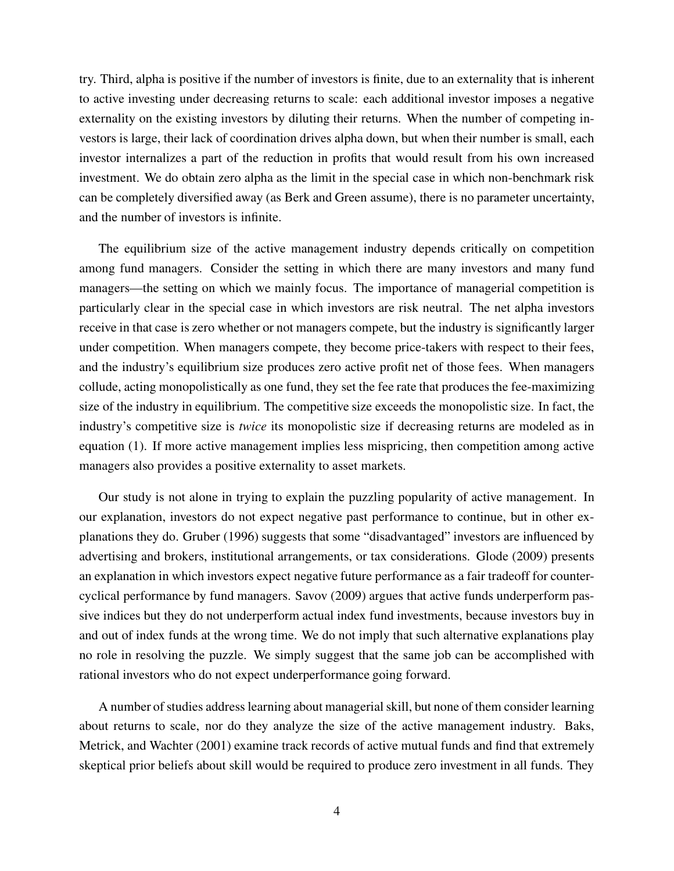try. Third, alpha is positive if the number of investors is finite, due to an externality that is inherent to active investing under decreasing returns to scale: each additional investor imposes a negative externality on the existing investors by diluting their returns. When the number of competing investors is large, their lack of coordination drives alpha down, but when their number is small, each investor internalizes a part of the reduction in profits that would result from his own increased investment. We do obtain zero alpha as the limit in the special case in which non-benchmark risk can be completely diversified away (as Berk and Green assume), there is no parameter uncertainty, and the number of investors is infinite.

The equilibrium size of the active management industry depends critically on competition among fund managers. Consider the setting in which there are many investors and many fund managers—the setting on which we mainly focus. The importance of managerial competition is particularly clear in the special case in which investors are risk neutral. The net alpha investors receive in that case is zero whether or not managers compete, but the industry is significantly larger under competition. When managers compete, they become price-takers with respect to their fees, and the industry's equilibrium size produces zero active profit net of those fees. When managers collude, acting monopolistically as one fund, they set the fee rate that produces the fee-maximizing size of the industry in equilibrium. The competitive size exceeds the monopolistic size. In fact, the industry's competitive size is *twice* its monopolistic size if decreasing returns are modeled as in equation (1). If more active management implies less mispricing, then competition among active managers also provides a positive externality to asset markets.

Our study is not alone in trying to explain the puzzling popularity of active management. In our explanation, investors do not expect negative past performance to continue, but in other explanations they do. Gruber (1996) suggests that some "disadvantaged" investors are influenced by advertising and brokers, institutional arrangements, or tax considerations. Glode (2009) presents an explanation in which investors expect negative future performance as a fair tradeoff for countercyclical performance by fund managers. Savov (2009) argues that active funds underperform passive indices but they do not underperform actual index fund investments, because investors buy in and out of index funds at the wrong time. We do not imply that such alternative explanations play no role in resolving the puzzle. We simply suggest that the same job can be accomplished with rational investors who do not expect underperformance going forward.

A number of studies address learning about managerial skill, but none of them consider learning about returns to scale, nor do they analyze the size of the active management industry. Baks, Metrick, and Wachter (2001) examine track records of active mutual funds and find that extremely skeptical prior beliefs about skill would be required to produce zero investment in all funds. They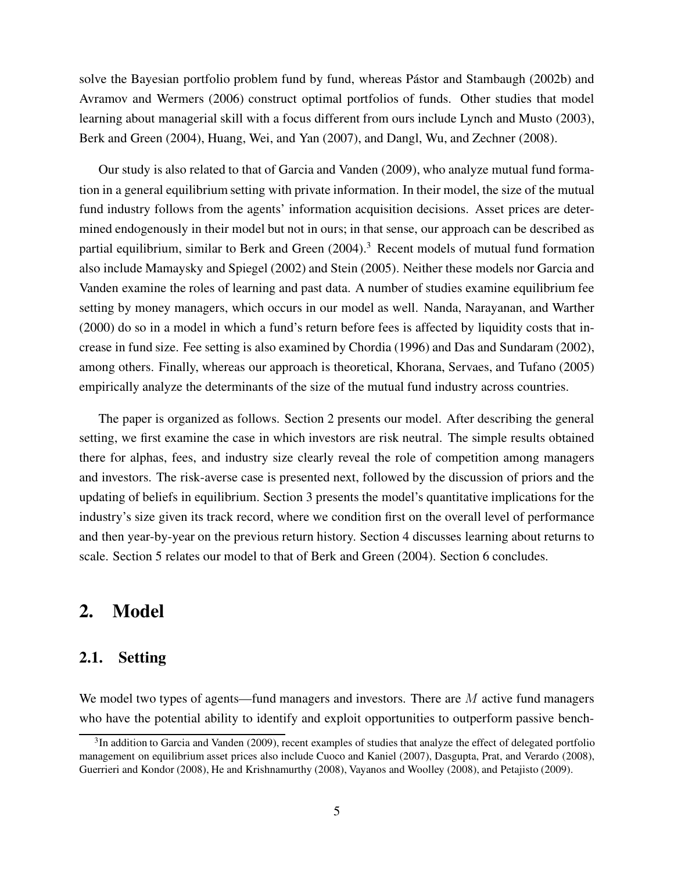solve the Bayesian portfolio problem fund by fund, whereas Pástor and Stambaugh (2002b) and Avramov and Wermers (2006) construct optimal portfolios of funds. Other studies that model learning about managerial skill with a focus different from ours include Lynch and Musto (2003), Berk and Green (2004), Huang, Wei, and Yan (2007), and Dangl, Wu, and Zechner (2008).

Our study is also related to that of Garcia and Vanden (2009), who analyze mutual fund formation in a general equilibrium setting with private information. In their model, the size of the mutual fund industry follows from the agents' information acquisition decisions. Asset prices are determined endogenously in their model but not in ours; in that sense, our approach can be described as partial equilibrium, similar to Berk and Green  $(2004)$ .<sup>3</sup> Recent models of mutual fund formation also include Mamaysky and Spiegel (2002) and Stein (2005). Neither these models nor Garcia and Vanden examine the roles of learning and past data. A number of studies examine equilibrium fee setting by money managers, which occurs in our model as well. Nanda, Narayanan, and Warther (2000) do so in a model in which a fund's return before fees is affected by liquidity costs that increase in fund size. Fee setting is also examined by Chordia (1996) and Das and Sundaram (2002), among others. Finally, whereas our approach is theoretical, Khorana, Servaes, and Tufano (2005) empirically analyze the determinants of the size of the mutual fund industry across countries.

The paper is organized as follows. Section 2 presents our model. After describing the general setting, we first examine the case in which investors are risk neutral. The simple results obtained there for alphas, fees, and industry size clearly reveal the role of competition among managers and investors. The risk-averse case is presented next, followed by the discussion of priors and the updating of beliefs in equilibrium. Section 3 presents the model's quantitative implications for the industry's size given its track record, where we condition first on the overall level of performance and then year-by-year on the previous return history. Section 4 discusses learning about returns to scale. Section 5 relates our model to that of Berk and Green (2004). Section 6 concludes.

# 2. Model

### 2.1. Setting

We model two types of agents—fund managers and investors. There are M active fund managers who have the potential ability to identify and exploit opportunities to outperform passive bench-

 $3$ In addition to Garcia and Vanden (2009), recent examples of studies that analyze the effect of delegated portfolio management on equilibrium asset prices also include Cuoco and Kaniel (2007), Dasgupta, Prat, and Verardo (2008), Guerrieri and Kondor (2008), He and Krishnamurthy (2008), Vayanos and Woolley (2008), and Petajisto (2009).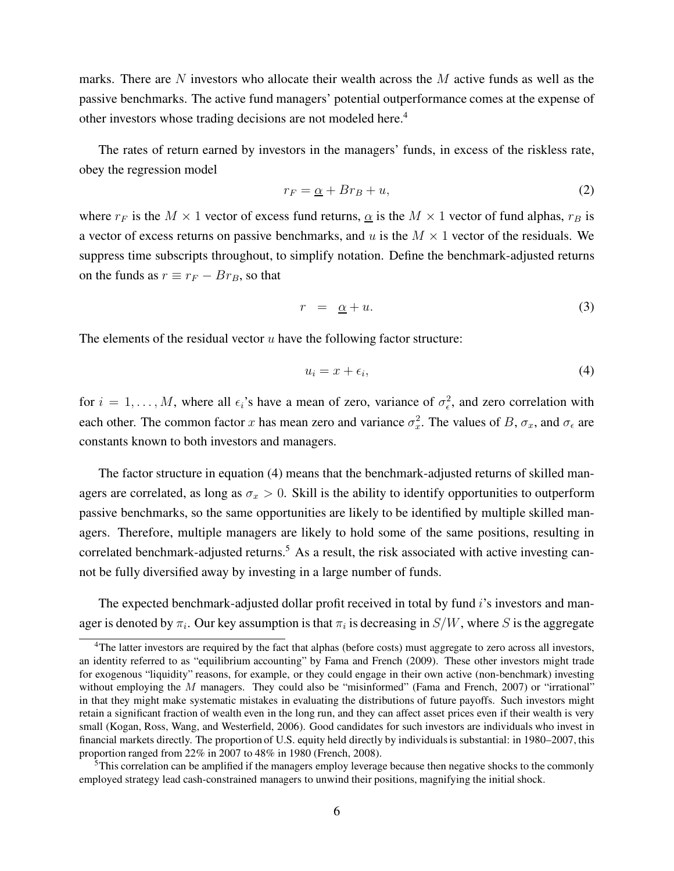marks. There are N investors who allocate their wealth across the  $M$  active funds as well as the passive benchmarks. The active fund managers' potential outperformance comes at the expense of other investors whose trading decisions are not modeled here.<sup>4</sup>

The rates of return earned by investors in the managers' funds, in excess of the riskless rate, obey the regression model

$$
r_F = \underline{\alpha} + Br_B + u,\tag{2}
$$

where  $r_F$  is the  $M \times 1$  vector of excess fund returns,  $\alpha$  is the  $M \times 1$  vector of fund alphas,  $r_B$  is a vector of excess returns on passive benchmarks, and u is the  $M \times 1$  vector of the residuals. We suppress time subscripts throughout, to simplify notation. Define the benchmark-adjusted returns on the funds as  $r \equiv r_F - Br_B$ , so that

$$
r = \underline{\alpha} + u. \tag{3}
$$

The elements of the residual vector  $u$  have the following factor structure:

$$
u_i = x + \epsilon_i,\tag{4}
$$

for  $i = 1, ..., M$ , where all  $\epsilon_i$ 's have a mean of zero, variance of  $\sigma_{\epsilon}^2$ , and zero correlation with each other. The common factor x has mean zero and variance  $\sigma_x^2$ . The values of B,  $\sigma_x$ , and  $\sigma_\epsilon$  are constants known to both investors and managers.

The factor structure in equation (4) means that the benchmark-adjusted returns of skilled managers are correlated, as long as  $\sigma_x > 0$ . Skill is the ability to identify opportunities to outperform passive benchmarks, so the same opportunities are likely to be identified by multiple skilled managers. Therefore, multiple managers are likely to hold some of the same positions, resulting in correlated benchmark-adjusted returns.<sup>5</sup> As a result, the risk associated with active investing cannot be fully diversified away by investing in a large number of funds.

The expected benchmark-adjusted dollar profit received in total by fund i's investors and manager is denoted by  $\pi_i.$  Our key assumption is that  $\pi_i$  is decreasing in  $S/W,$  where  $S$  is the aggregate

<sup>&</sup>lt;sup>4</sup>The latter investors are required by the fact that alphas (before costs) must aggregate to zero across all investors, an identity referred to as "equilibrium accounting" by Fama and French (2009). These other investors might trade for exogenous "liquidity" reasons, for example, or they could engage in their own active (non-benchmark) investing without employing the M managers. They could also be "misinformed" (Fama and French, 2007) or "irrational" in that they might make systematic mistakes in evaluating the distributions of future payoffs. Such investors might retain a significant fraction of wealth even in the long run, and they can affect asset prices even if their wealth is very small (Kogan, Ross, Wang, and Westerfield, 2006). Good candidates for such investors are individuals who invest in financial markets directly. The proportion of U.S. equity held directly by individuals is substantial: in 1980–2007, this proportion ranged from 22% in 2007 to 48% in 1980 (French, 2008).

<sup>&</sup>lt;sup>5</sup>This correlation can be amplified if the managers employ leverage because then negative shocks to the commonly employed strategy lead cash-constrained managers to unwind their positions, magnifying the initial shock.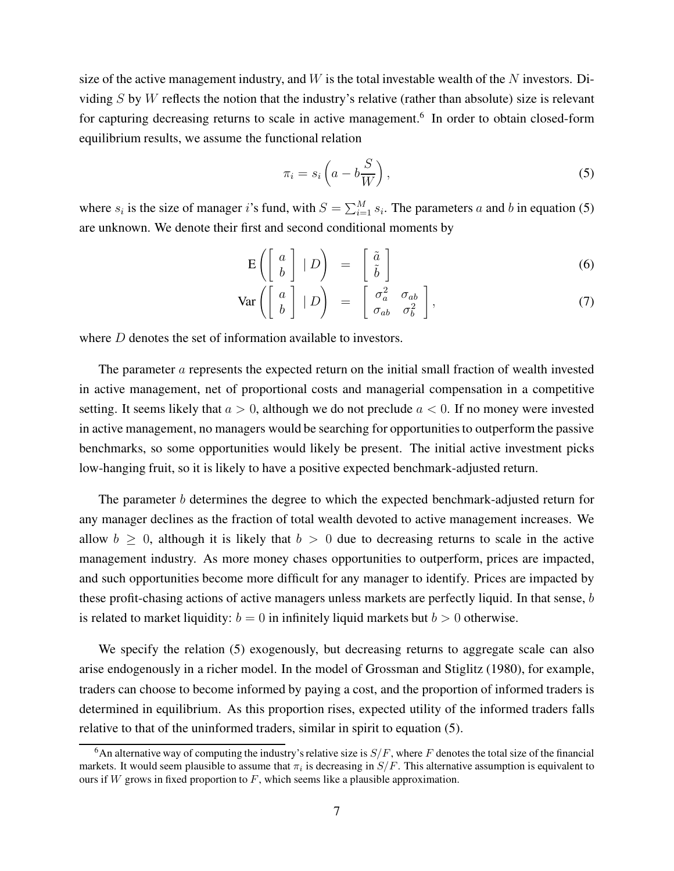size of the active management industry, and  $W$  is the total investable wealth of the  $N$  investors. Dividing  $S$  by  $W$  reflects the notion that the industry's relative (rather than absolute) size is relevant for capturing decreasing returns to scale in active management.<sup>6</sup> In order to obtain closed-form equilibrium results, we assume the functional relation

$$
\pi_i = s_i \left( a - b \frac{S}{W} \right),\tag{5}
$$

where  $s_i$  is the size of manager i's fund, with  $S = \sum_{i=1}^{M} s_i$ . The parameters a and b in equation (5) are unknown. We denote their first and second conditional moments by

$$
E\left(\left[\begin{array}{c} a \\ b \end{array}\right] | D\right) = \left[\begin{array}{c} \tilde{a} \\ \tilde{b} \end{array}\right]
$$
 (6)

$$
\text{Var}\left(\left[\begin{array}{c}a\\b\end{array}\right] | D\right) = \left[\begin{array}{cc}\sigma_a^2 & \sigma_{ab}\\ \sigma_{ab} & \sigma_b^2\end{array}\right],\tag{7}
$$

where *D* denotes the set of information available to investors.

The parameter  $\alpha$  represents the expected return on the initial small fraction of wealth invested in active management, net of proportional costs and managerial compensation in a competitive setting. It seems likely that  $a > 0$ , although we do not preclude  $a < 0$ . If no money were invested in active management, no managers would be searching for opportunities to outperform the passive benchmarks, so some opportunities would likely be present. The initial active investment picks low-hanging fruit, so it is likely to have a positive expected benchmark-adjusted return.

The parameter b determines the degree to which the expected benchmark-adjusted return for any manager declines as the fraction of total wealth devoted to active management increases. We allow  $b \geq 0$ , although it is likely that  $b > 0$  due to decreasing returns to scale in the active management industry. As more money chases opportunities to outperform, prices are impacted, and such opportunities become more difficult for any manager to identify. Prices are impacted by these profit-chasing actions of active managers unless markets are perfectly liquid. In that sense, b is related to market liquidity:  $b = 0$  in infinitely liquid markets but  $b > 0$  otherwise.

We specify the relation (5) exogenously, but decreasing returns to aggregate scale can also arise endogenously in a richer model. In the model of Grossman and Stiglitz (1980), for example, traders can choose to become informed by paying a cost, and the proportion of informed traders is determined in equilibrium. As this proportion rises, expected utility of the informed traders falls relative to that of the uninformed traders, similar in spirit to equation (5).

<sup>&</sup>lt;sup>6</sup>An alternative way of computing the industry's relative size is  $S/F$ , where F denotes the total size of the financial markets. It would seem plausible to assume that  $\pi_i$  is decreasing in  $S/F$ . This alternative assumption is equivalent to ours if  $W$  grows in fixed proportion to  $F$ , which seems like a plausible approximation.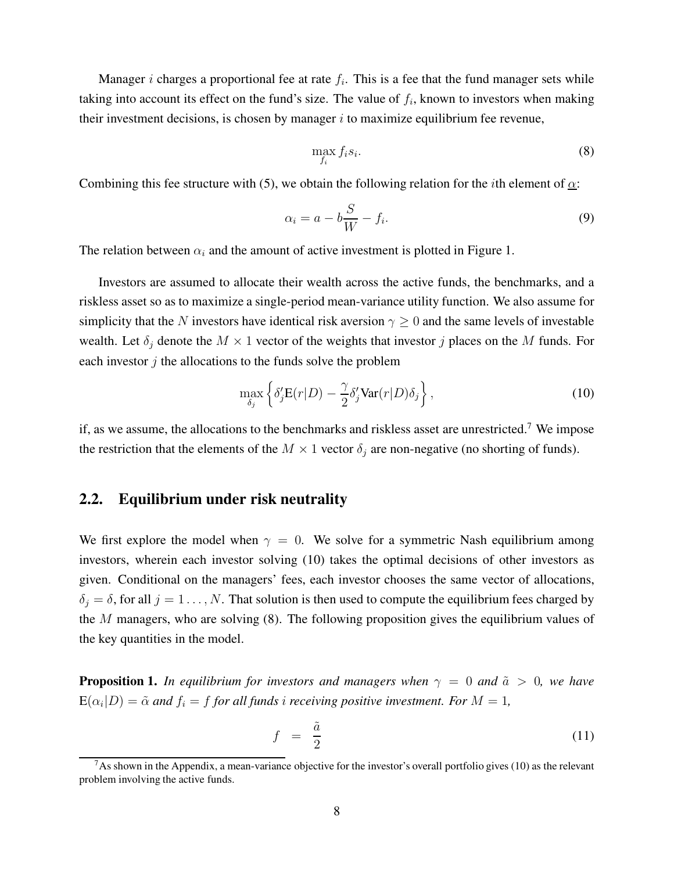Manager *i* charges a proportional fee at rate  $f_i$ . This is a fee that the fund manager sets while taking into account its effect on the fund's size. The value of  $f_i$ , known to investors when making their investment decisions, is chosen by manager  $i$  to maximize equilibrium fee revenue,

$$
\max_{f_i} f_i s_i. \tag{8}
$$

Combining this fee structure with (5), we obtain the following relation for the *i*th element of  $\alpha$ :

$$
\alpha_i = a - b\frac{S}{W} - f_i.
$$
\n(9)

The relation between  $\alpha_i$  and the amount of active investment is plotted in Figure 1.

Investors are assumed to allocate their wealth across the active funds, the benchmarks, and a riskless asset so as to maximize a single-period mean-variance utility function. We also assume for simplicity that the N investors have identical risk aversion  $\gamma \geq 0$  and the same levels of investable wealth. Let  $\delta_j$  denote the  $M \times 1$  vector of the weights that investor j places on the M funds. For each investor  $j$  the allocations to the funds solve the problem

$$
\max_{\delta_j} \left\{ \delta_j' \mathbf{E}(r|D) - \frac{\gamma}{2} \delta_j' \text{Var}(r|D) \delta_j \right\},\tag{10}
$$

if, as we assume, the allocations to the benchmarks and riskless asset are unrestricted.<sup>7</sup> We impose the restriction that the elements of the  $M \times 1$  vector  $\delta_j$  are non-negative (no shorting of funds).

### 2.2. Equilibrium under risk neutrality

We first explore the model when  $\gamma = 0$ . We solve for a symmetric Nash equilibrium among investors, wherein each investor solving (10) takes the optimal decisions of other investors as given. Conditional on the managers' fees, each investor chooses the same vector of allocations,  $\delta_i = \delta$ , for all  $j = 1 \dots, N$ . That solution is then used to compute the equilibrium fees charged by the M managers, who are solving (8). The following proposition gives the equilibrium values of the key quantities in the model.

**Proposition 1.** In equilibrium for investors and managers when  $\gamma = 0$  and  $\tilde{a} > 0$ , we have  $\mathbf{E}(\alpha_i|D) = \tilde{\alpha}$  and  $f_i = f$  for all funds i receiving positive investment. For  $M = 1$ ,

$$
f = \frac{\tilde{a}}{2} \tag{11}
$$

 $7$ As shown in the Appendix, a mean-variance objective for the investor's overall portfolio gives (10) as the relevant problem involving the active funds.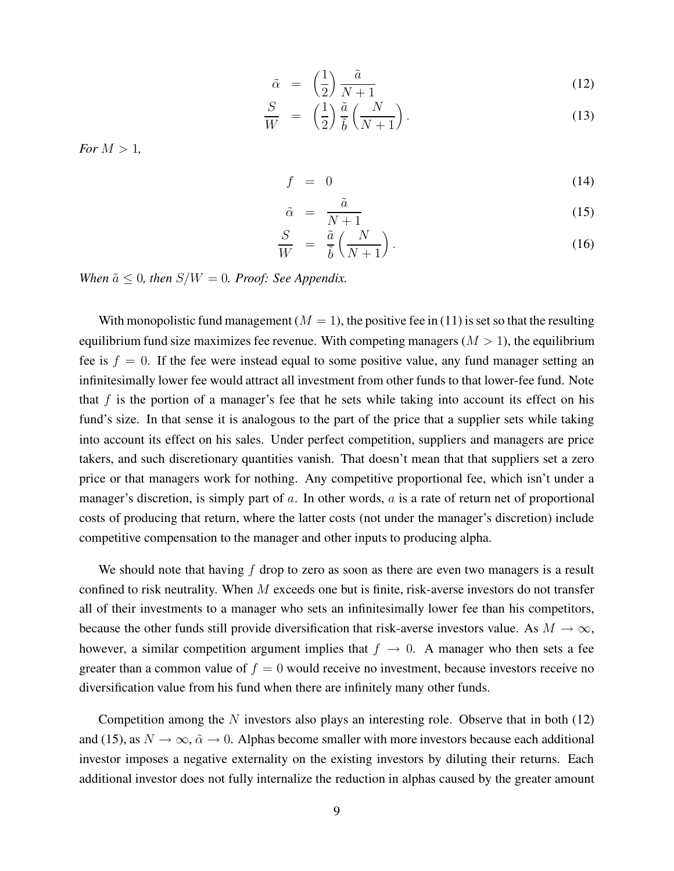$$
\tilde{\alpha} = \left(\frac{1}{2}\right) \frac{\tilde{a}}{N+1} \tag{12}
$$

$$
\frac{S}{W} = \left(\frac{1}{2}\right) \frac{\tilde{a}}{\tilde{b}} \left(\frac{N}{N+1}\right). \tag{13}
$$

For  $M > 1$ .

$$
f = 0 \tag{14}
$$

$$
\tilde{\alpha} = \frac{\tilde{a}}{N+1} \tag{15}
$$

$$
\frac{S}{W} = \frac{\tilde{a}}{\tilde{b}} \left( \frac{N}{N+1} \right). \tag{16}
$$

When  $\tilde{a} \leq 0$ , then  $S/W = 0$ . Proof: See Appendix.

With monopolistic fund management ( $M = 1$ ), the positive fee in (11) is set so that the resulting equilibrium fund size maximizes fee revenue. With competing managers  $(M > 1)$ , the equilibrium fee is  $f = 0$ . If the fee were instead equal to some positive value, any fund manager setting an infinitesimally lower fee would attract all investment from other funds to that lower-fee fund. Note that  $f$  is the portion of a manager's fee that he sets while taking into account its effect on his fund's size. In that sense it is analogous to the part of the price that a supplier sets while taking into account its effect on his sales. Under perfect competition, suppliers and managers are price takers, and such discretionary quantities vanish. That doesn't mean that that suppliers set a zero price or that managers work for nothing. Any competitive proportional fee, which isn't under a manager's discretion, is simply part of a. In other words,  $\alpha$  is a rate of return net of proportional costs of producing that return, where the latter costs (not under the manager's discretion) include competitive compensation to the manager and other inputs to producing alpha.

We should note that having  $f$  drop to zero as soon as there are even two managers is a result confined to risk neutrality. When  $M$  exceeds one but is finite, risk-averse investors do not transfer all of their investments to a manager who sets an infinitesimally lower fee than his competitors, because the other funds still provide diversification that risk-averse investors value. As  $M \to \infty$ , however, a similar competition argument implies that  $f \to 0$ . A manager who then sets a fee greater than a common value of  $f = 0$  would receive no investment, because investors receive no diversification value from his fund when there are infinitely many other funds.

Competition among the  $N$  investors also plays an interesting role. Observe that in both  $(12)$ and (15), as  $N \to \infty$ ,  $\tilde{\alpha} \to 0$ . Alphas become smaller with more investors because each additional investor imposes a negative externality on the existing investors by diluting their returns. Each additional investor does not fully internalize the reduction in alphas caused by the greater amount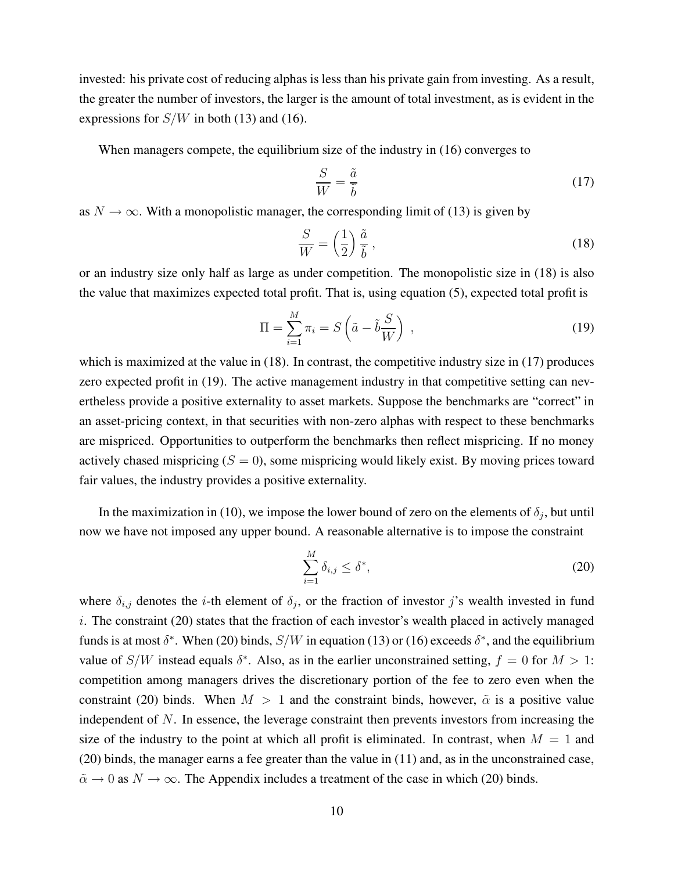invested: his private cost of reducing alphas is less than his private gain from investing. As a result, the greater the number of investors, the larger is the amount of total investment, as is evident in the expressions for  $S/W$  in both (13) and (16).

When managers compete, the equilibrium size of the industry in (16) converges to

$$
\frac{S}{W} = \frac{\tilde{a}}{\tilde{b}}\tag{17}
$$

as  $N \to \infty$ . With a monopolistic manager, the corresponding limit of (13) is given by

$$
\frac{S}{W} = \left(\frac{1}{2}\right)\frac{\tilde{a}}{\tilde{b}},\tag{18}
$$

or an industry size only half as large as under competition. The monopolistic size in (18) is also the value that maximizes expected total profit. That is, using equation (5), expected total profit is

$$
\Pi = \sum_{i=1}^{M} \pi_i = S\left(\tilde{a} - \tilde{b}\frac{S}{W}\right) \,,\tag{19}
$$

which is maximized at the value in (18). In contrast, the competitive industry size in (17) produces zero expected profit in (19). The active management industry in that competitive setting can nevertheless provide a positive externality to asset markets. Suppose the benchmarks are "correct" in an asset-pricing context, in that securities with non-zero alphas with respect to these benchmarks are mispriced. Opportunities to outperform the benchmarks then reflect mispricing. If no money actively chased mispricing  $(S = 0)$ , some mispricing would likely exist. By moving prices toward fair values, the industry provides a positive externality.

In the maximization in (10), we impose the lower bound of zero on the elements of  $\delta_i$ , but until now we have not imposed any upper bound. A reasonable alternative is to impose the constraint

$$
\sum_{i=1}^{M} \delta_{i,j} \le \delta^*,\tag{20}
$$

where  $\delta_{i,j}$  denotes the *i*-th element of  $\delta_j$ , or the fraction of investor j's wealth invested in fund i. The constraint (20) states that the fraction of each investor's wealth placed in actively managed funds is at most  $\delta^*$ . When (20) binds,  $S/W$  in equation (13) or (16) exceeds  $\delta^*$ , and the equilibrium value of  $S/W$  instead equals  $\delta^*$ . Also, as in the earlier unconstrained setting,  $f = 0$  for  $M > 1$ : competition among managers drives the discretionary portion of the fee to zero even when the constraint (20) binds. When  $M > 1$  and the constraint binds, however,  $\tilde{\alpha}$  is a positive value independent of N. In essence, the leverage constraint then prevents investors from increasing the size of the industry to the point at which all profit is eliminated. In contrast, when  $M = 1$  and (20) binds, the manager earns a fee greater than the value in (11) and, as in the unconstrained case,  $\tilde{\alpha} \to 0$  as  $N \to \infty$ . The Appendix includes a treatment of the case in which (20) binds.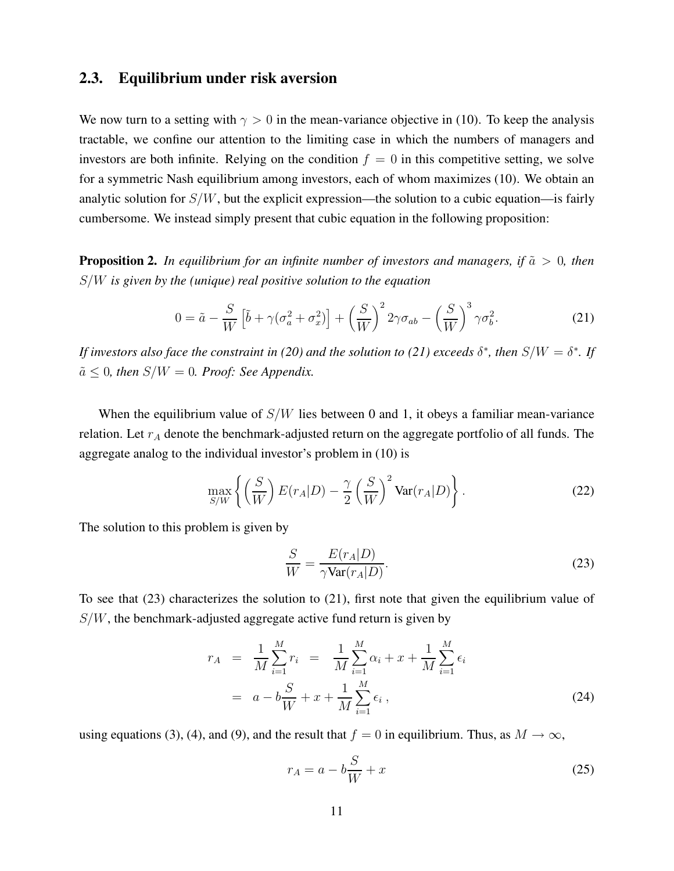### 2.3. Equilibrium under risk aversion

We now turn to a setting with  $\gamma > 0$  in the mean-variance objective in (10). To keep the analysis tractable, we confine our attention to the limiting case in which the numbers of managers and investors are both infinite. Relying on the condition  $f = 0$  in this competitive setting, we solve for a symmetric Nash equilibrium among investors, each of whom maximizes (10). We obtain an analytic solution for  $S/W$ , but the explicit expression—the solution to a cubic equation—is fairly cumbersome. We instead simply present that cubic equation in the following proposition:

**Proposition 2.** In equilibrium for an infinite number of investors and managers, if  $\tilde{a} > 0$ , then  $S/W$  is given by the (unique) real positive solution to the equation

$$
0 = \tilde{a} - \frac{S}{W} \left[ \tilde{b} + \gamma (\sigma_a^2 + \sigma_x^2) \right] + \left( \frac{S}{W} \right)^2 2\gamma \sigma_{ab} - \left( \frac{S}{W} \right)^3 \gamma \sigma_b^2.
$$
 (21)

If investors also face the constraint in (20) and the solution to (21) exceeds  $\delta^*$ , then  $S/W = \delta^*$ . If  $\tilde{a} \leq 0$ , then  $S/W = 0$ . Proof: See Appendix.

When the equilibrium value of  $S/W$  lies between 0 and 1, it obeys a familiar mean-variance relation. Let  $r_A$  denote the benchmark-adjusted return on the aggregate portfolio of all funds. The aggregate analog to the individual investor's problem in (10) is

$$
\max_{S/W} \left\{ \left( \frac{S}{W} \right) E(r_A|D) - \frac{\gamma}{2} \left( \frac{S}{W} \right)^2 \text{Var}(r_A|D) \right\}. \tag{22}
$$

The solution to this problem is given by

$$
\frac{S}{W} = \frac{E(r_A|D)}{\gamma \text{Var}(r_A|D)}.
$$
\n(23)

To see that (23) characterizes the solution to (21), first note that given the equilibrium value of  $S/W$ , the benchmark-adjusted aggregate active fund return is given by

$$
r_A = \frac{1}{M} \sum_{i=1}^{M} r_i = \frac{1}{M} \sum_{i=1}^{M} \alpha_i + x + \frac{1}{M} \sum_{i=1}^{M} \epsilon_i
$$
  
=  $a - b \frac{S}{W} + x + \frac{1}{M} \sum_{i=1}^{M} \epsilon_i$ , (24)

using equations (3), (4), and (9), and the result that  $f = 0$  in equilibrium. Thus, as  $M \to \infty$ ,

$$
r_A = a - b\frac{S}{W} + x\tag{25}
$$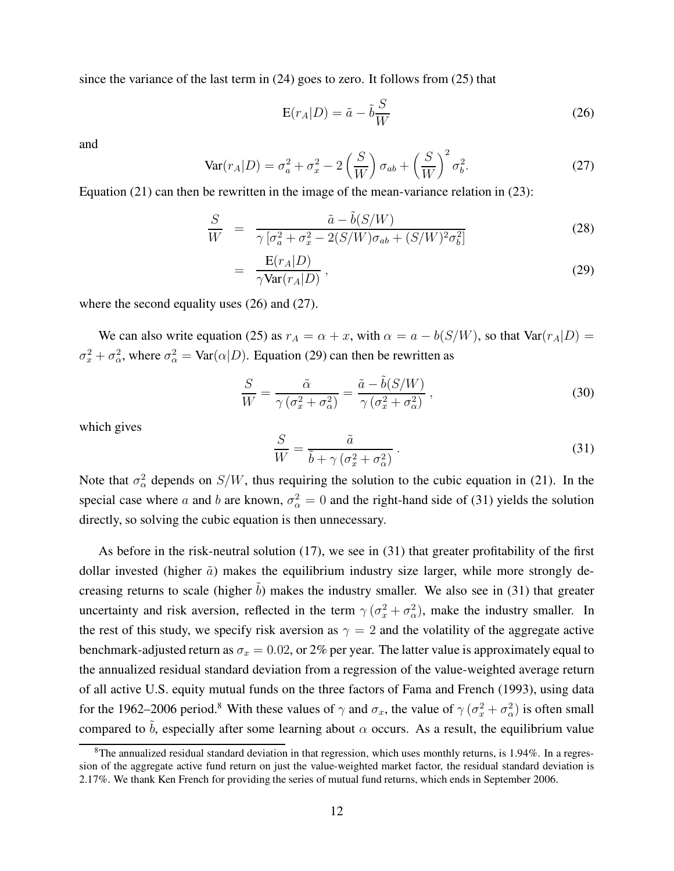since the variance of the last term in (24) goes to zero. It follows from (25) that

$$
E(r_A|D) = \tilde{a} - \tilde{b}\frac{S}{W}
$$
 (26)

and

$$
\text{Var}(r_A|D) = \sigma_a^2 + \sigma_x^2 - 2\left(\frac{S}{W}\right)\sigma_{ab} + \left(\frac{S}{W}\right)^2 \sigma_b^2. \tag{27}
$$

Equation (21) can then be rewritten in the image of the mean-variance relation in (23):

$$
\frac{S}{W} = \frac{\tilde{a} - \tilde{b}(S/W)}{\gamma \left[\sigma_a^2 + \sigma_x^2 - 2(S/W)\sigma_{ab} + (S/W)^2 \sigma_b^2\right]}
$$
(28)

$$
= \frac{\mathbf{E}(r_A|D)}{\gamma \text{Var}(r_A|D)}, \qquad (29)
$$

where the second equality uses (26) and (27).

=

We can also write equation (25) as  $r_A = \alpha + x$ , with  $\alpha = a - b(S/W)$ , so that  $Var(r_A|D)$  $\sigma_x^2 + \sigma_\alpha^2$ , where  $\sigma_\alpha^2 = \text{Var}(\alpha|D)$ . Equation (29) can then be rewritten as

$$
\frac{S}{W} = \frac{\tilde{\alpha}}{\gamma \left(\sigma_x^2 + \sigma_\alpha^2\right)} = \frac{\tilde{a} - \tilde{b}(S/W)}{\gamma \left(\sigma_x^2 + \sigma_\alpha^2\right)}\,,\tag{30}
$$

which gives

$$
\frac{S}{W} = \frac{\tilde{a}}{\tilde{b} + \gamma \left(\sigma_x^2 + \sigma_\alpha^2\right)}\,. \tag{31}
$$

Note that  $\sigma_{\alpha}^2$  depends on  $S/W$ , thus requiring the solution to the cubic equation in (21). In the special case where a and b are known,  $\sigma_{\alpha}^2 = 0$  and the right-hand side of (31) yields the solution directly, so solving the cubic equation is then unnecessary.

As before in the risk-neutral solution (17), we see in (31) that greater profitability of the first dollar invested (higher  $\tilde{a}$ ) makes the equilibrium industry size larger, while more strongly decreasing returns to scale (higher  $\tilde{b}$ ) makes the industry smaller. We also see in (31) that greater uncertainty and risk aversion, reflected in the term  $\gamma(\sigma_x^2 + \sigma_\alpha^2)$ , make the industry smaller. In the rest of this study, we specify risk aversion as  $\gamma = 2$  and the volatility of the aggregate active benchmark-adjusted return as  $\sigma_x = 0.02$ , or 2% per year. The latter value is approximately equal to the annualized residual standard deviation from a regression of the value-weighted average return of all active U.S. equity mutual funds on the three factors of Fama and French (1993), using data for the 1962–2006 period.<sup>8</sup> With these values of  $\gamma$  and  $\sigma_x$ , the value of  $\gamma$  ( $\sigma_x^2 + \sigma_\alpha^2$ ) is often small compared to  $\tilde{b}$ , especially after some learning about  $\alpha$  occurs. As a result, the equilibrium value

 $8$ The annualized residual standard deviation in that regression, which uses monthly returns, is 1.94%. In a regression of the aggregate active fund return on just the value-weighted market factor, the residual standard deviation is 2.17%. We thank Ken French for providing the series of mutual fund returns, which ends in September 2006.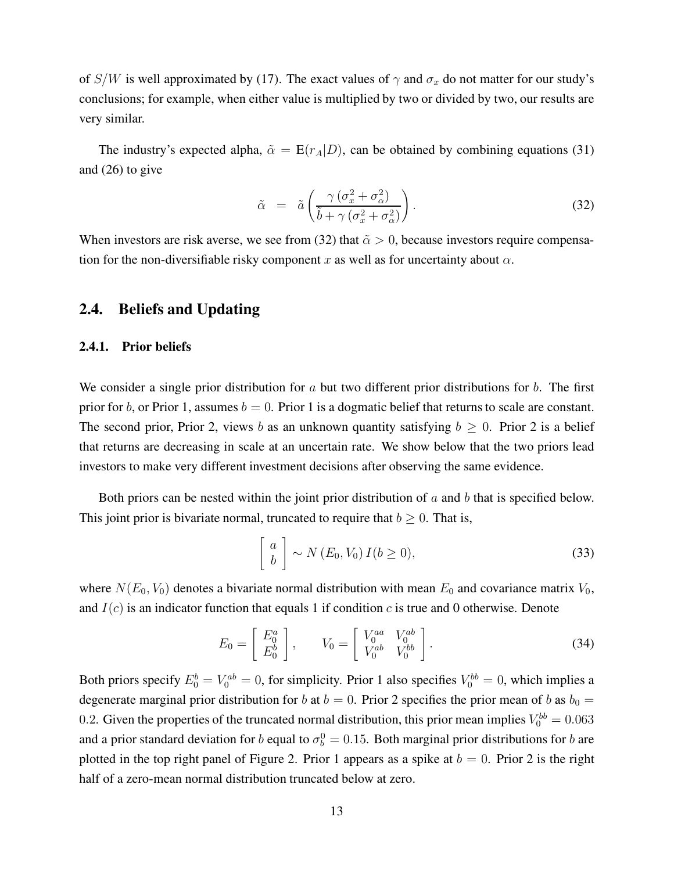of S/W is well approximated by (17). The exact values of  $\gamma$  and  $\sigma_x$  do not matter for our study's conclusions; for example, when either value is multiplied by two or divided by two, our results are very similar.

The industry's expected alpha,  $\tilde{\alpha} = E(r_A|D)$ , can be obtained by combining equations (31) and (26) to give

$$
\tilde{\alpha} = \tilde{a} \left( \frac{\gamma \left( \sigma_x^2 + \sigma_\alpha^2 \right)}{\tilde{b} + \gamma \left( \sigma_x^2 + \sigma_\alpha^2 \right)} \right). \tag{32}
$$

When investors are risk averse, we see from (32) that  $\tilde{\alpha} > 0$ , because investors require compensation for the non-diversifiable risky component x as well as for uncertainty about  $\alpha$ .

## 2.4. Beliefs and Updating

#### 2.4.1. Prior beliefs

We consider a single prior distribution for a but two different prior distributions for  $b$ . The first prior for b, or Prior 1, assumes  $b = 0$ . Prior 1 is a dogmatic belief that returns to scale are constant. The second prior, Prior 2, views b as an unknown quantity satisfying  $b \geq 0$ . Prior 2 is a belief that returns are decreasing in scale at an uncertain rate. We show below that the two priors lead investors to make very different investment decisions after observing the same evidence.

Both priors can be nested within the joint prior distribution of  $a$  and  $b$  that is specified below. This joint prior is bivariate normal, truncated to require that  $b \geq 0$ . That is,

$$
\left[\begin{array}{c} a \\ b \end{array}\right] \sim N(E_0, V_0) I(b \ge 0), \tag{33}
$$

where  $N(E_0, V_0)$  denotes a bivariate normal distribution with mean  $E_0$  and covariance matrix  $V_0$ , and  $I(c)$  is an indicator function that equals 1 if condition c is true and 0 otherwise. Denote

$$
E_0 = \left[ \begin{array}{c} E_0^a \\ E_0^b \end{array} \right], \qquad V_0 = \left[ \begin{array}{cc} V_0^{aa} & V_0^{ab} \\ V_0^{ab} & V_0^{bb} \end{array} \right]. \tag{34}
$$

Both priors specify  $E_0^b = V_0^{ab} = 0$ , for simplicity. Prior 1 also specifies  $V_0^{bb} = 0$ , which implies a degenerate marginal prior distribution for b at  $b = 0$ . Prior 2 specifies the prior mean of b as  $b_0 =$ 0.2. Given the properties of the truncated normal distribution, this prior mean implies  $V_0^{bb} = 0.063$ and a prior standard deviation for b equal to  $\sigma_b^0 = 0.15$ . Both marginal prior distributions for b are plotted in the top right panel of Figure 2. Prior 1 appears as a spike at  $b = 0$ . Prior 2 is the right half of a zero-mean normal distribution truncated below at zero.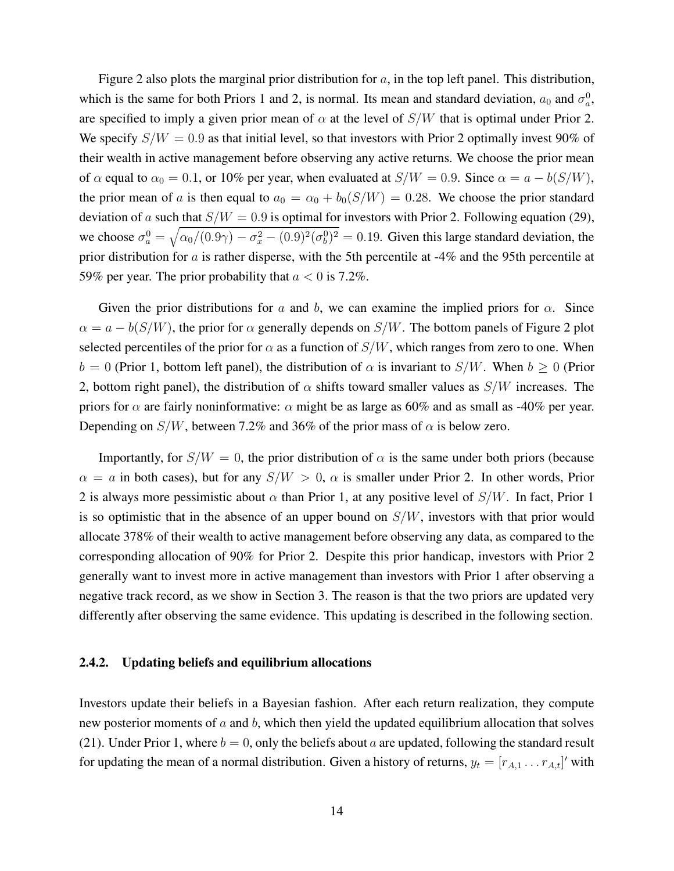Figure 2 also plots the marginal prior distribution for  $a$ , in the top left panel. This distribution, which is the same for both Priors 1 and 2, is normal. Its mean and standard deviation,  $a_0$  and  $\sigma_a^0$ , are specified to imply a given prior mean of  $\alpha$  at the level of  $S/W$  that is optimal under Prior 2. We specify  $S/W = 0.9$  as that initial level, so that investors with Prior 2 optimally invest 90% of their wealth in active management before observing any active returns. We choose the prior mean of  $\alpha$  equal to  $\alpha_0 = 0.1$ , or 10% per year, when evaluated at  $S/W = 0.9$ . Since  $\alpha = a - b(S/W)$ , the prior mean of a is then equal to  $a_0 = \alpha_0 + b_0(S/W) = 0.28$ . We choose the prior standard deviation of a such that  $S/W = 0.9$  is optimal for investors with Prior 2. Following equation (29), we choose  $\sigma_a^0 = \sqrt{\alpha_0/(0.9\gamma) - \sigma_x^2 - (0.9)^2(\sigma_b^0)^2} = 0.19$ . Given this large standard deviation, the prior distribution for a is rather disperse, with the 5th percentile at -4% and the 95th percentile at 59% per year. The prior probability that  $a < 0$  is 7.2%.

Given the prior distributions for a and b, we can examine the implied priors for  $\alpha$ . Since  $\alpha = a - b(S/W)$ , the prior for  $\alpha$  generally depends on  $S/W$ . The bottom panels of Figure 2 plot selected percentiles of the prior for  $\alpha$  as a function of  $S/W$ , which ranges from zero to one. When  $b = 0$  (Prior 1, bottom left panel), the distribution of  $\alpha$  is invariant to  $S/W$ . When  $b \ge 0$  (Prior 2, bottom right panel), the distribution of  $\alpha$  shifts toward smaller values as  $S/W$  increases. The priors for  $\alpha$  are fairly noninformative:  $\alpha$  might be as large as 60% and as small as -40% per year. Depending on  $S/W$ , between 7.2% and 36% of the prior mass of  $\alpha$  is below zero.

Importantly, for  $S/W = 0$ , the prior distribution of  $\alpha$  is the same under both priors (because  $\alpha = a$  in both cases), but for any  $S/W > 0$ ,  $\alpha$  is smaller under Prior 2. In other words, Prior 2 is always more pessimistic about  $\alpha$  than Prior 1, at any positive level of  $S/W$ . In fact, Prior 1 is so optimistic that in the absence of an upper bound on  $S/W$ , investors with that prior would allocate 378% of their wealth to active management before observing any data, as compared to the corresponding allocation of 90% for Prior 2. Despite this prior handicap, investors with Prior 2 generally want to invest more in active management than investors with Prior 1 after observing a negative track record, as we show in Section 3. The reason is that the two priors are updated very differently after observing the same evidence. This updating is described in the following section.

#### 2.4.2. Updating beliefs and equilibrium allocations

Investors update their beliefs in a Bayesian fashion. After each return realization, they compute new posterior moments of  $a$  and  $b$ , which then yield the updated equilibrium allocation that solves (21). Under Prior 1, where  $b = 0$ , only the beliefs about a are updated, following the standard result for updating the mean of a normal distribution. Given a history of returns,  $y_t = [r_{A,1} \dots r_{A,t}]'$  with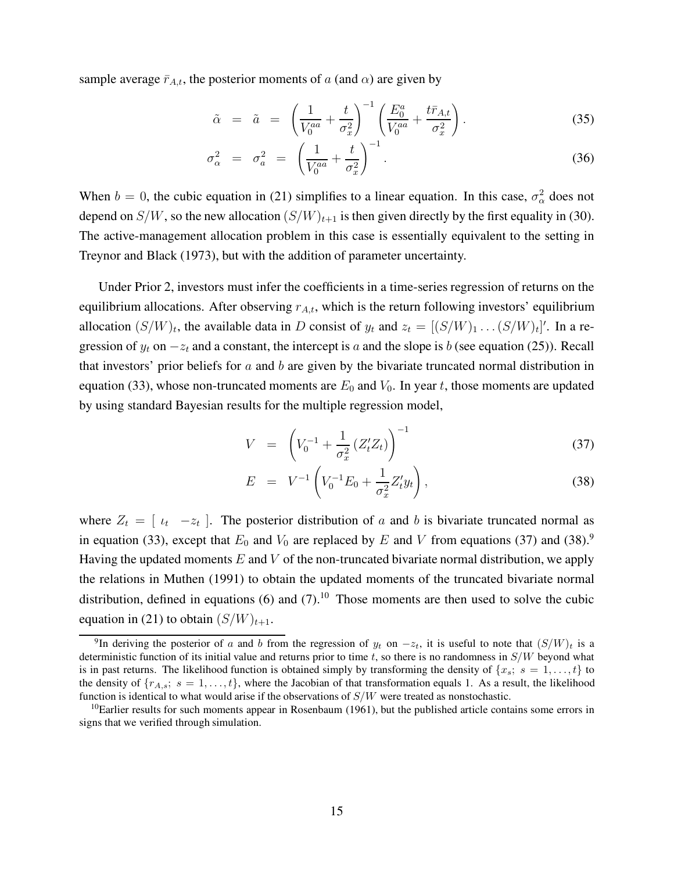sample average  $\bar{r}_{A,t}$ , the posterior moments of a (and  $\alpha$ ) are given by

$$
\tilde{\alpha} = \tilde{a} = \left(\frac{1}{V_0^{aa}} + \frac{t}{\sigma_x^2}\right)^{-1} \left(\frac{E_0^a}{V_0^{aa}} + \frac{t\bar{r}_{A,t}}{\sigma_x^2}\right).
$$
\n(35)

$$
\sigma_{\alpha}^2 = \sigma_a^2 = \left(\frac{1}{V_0^{aa}} + \frac{t}{\sigma_x^2}\right)^{-1}.\tag{36}
$$

When  $b = 0$ , the cubic equation in (21) simplifies to a linear equation. In this case,  $\sigma_{\alpha}^2$  does not depend on  $S/W$ , so the new allocation  $(S/W)_{t+1}$  is then given directly by the first equality in (30). The active-management allocation problem in this case is essentially equivalent to the setting in Treynor and Black (1973), but with the addition of parameter uncertainty.

Under Prior 2, investors must infer the coefficients in a time-series regression of returns on the equilibrium allocations. After observing  $r_{A,t}$ , which is the return following investors' equilibrium allocation  $(S/W)_t$ , the available data in D consist of  $y_t$  and  $z_t = [(S/W)_1 \dots (S/W)_t]'$ . In a regression of  $y_t$  on  $-z_t$  and a constant, the intercept is a and the slope is b (see equation (25)). Recall that investors' prior beliefs for  $a$  and  $b$  are given by the bivariate truncated normal distribution in equation (33), whose non-truncated moments are  $E_0$  and  $V_0$ . In year t, those moments are updated by using standard Bayesian results for the multiple regression model,

$$
V = \left( V_0^{-1} + \frac{1}{\sigma_x^2} \left( Z_t' Z_t \right) \right)^{-1} \tag{37}
$$

$$
E = V^{-1} \left( V_0^{-1} E_0 + \frac{1}{\sigma_x^2} Z_t' y_t \right), \tag{38}
$$

where  $Z_t = \begin{bmatrix} \nu_t & -z_t \end{bmatrix}$ . The posterior distribution of a and b is bivariate truncated normal as in equation (33), except that  $E_0$  and  $V_0$  are replaced by E and V from equations (37) and (38).<sup>9</sup> Having the updated moments  $E$  and  $V$  of the non-truncated bivariate normal distribution, we apply the relations in Muthen (1991) to obtain the updated moments of the truncated bivariate normal distribution, defined in equations (6) and  $(7)$ .<sup>10</sup> Those moments are then used to solve the cubic equation in (21) to obtain  $(S/W)_{t+1}$ .

<sup>&</sup>lt;sup>9</sup>In deriving the posterior of a and b from the regression of  $y_t$  on  $-z_t$ , it is useful to note that  $(S/W)_t$  is a deterministic function of its initial value and returns prior to time  $t$ , so there is no randomness in  $S/W$  beyond what is in past returns. The likelihood function is obtained simply by transforming the density of  $\{x_s; s = 1, \ldots, t\}$  to the density of  $\{r_{A,s}; s = 1, \ldots, t\}$ , where the Jacobian of that transformation equals 1. As a result, the likelihood function is identical to what would arise if the observations of  $S/W$  were treated as nonstochastic.

 $10$ Earlier results for such moments appear in Rosenbaum (1961), but the published article contains some errors in signs that we verified through simulation.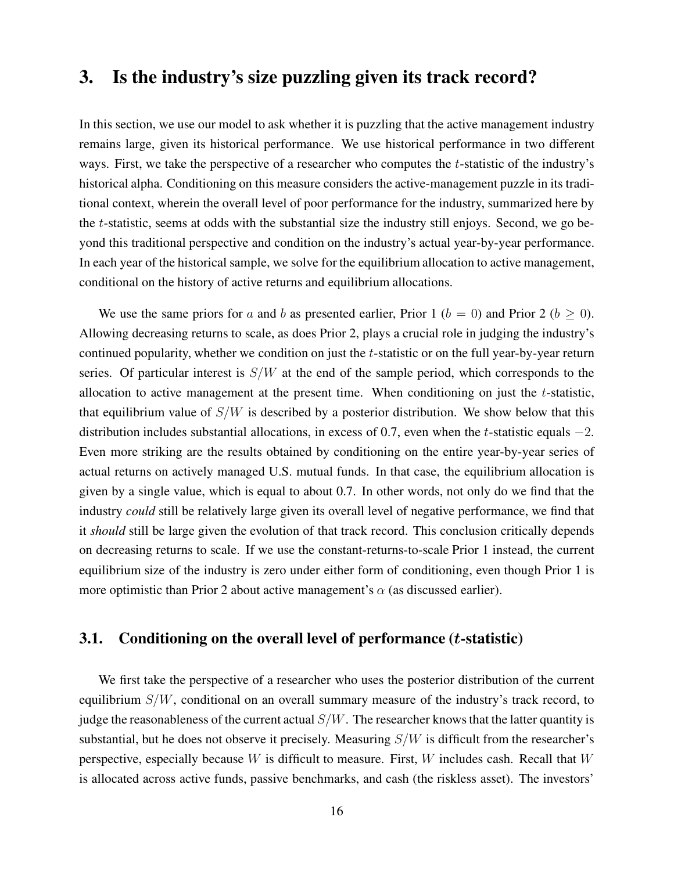# 3. Is the industry's size puzzling given its track record?

In this section, we use our model to ask whether it is puzzling that the active management industry remains large, given its historical performance. We use historical performance in two different ways. First, we take the perspective of a researcher who computes the *t*-statistic of the industry's historical alpha. Conditioning on this measure considers the active-management puzzle in its traditional context, wherein the overall level of poor performance for the industry, summarized here by the t-statistic, seems at odds with the substantial size the industry still enjoys. Second, we go beyond this traditional perspective and condition on the industry's actual year-by-year performance. In each year of the historical sample, we solve for the equilibrium allocation to active management, conditional on the history of active returns and equilibrium allocations.

We use the same priors for a and b as presented earlier, Prior 1 ( $b = 0$ ) and Prior 2 ( $b \ge 0$ ). Allowing decreasing returns to scale, as does Prior 2, plays a crucial role in judging the industry's continued popularity, whether we condition on just the t-statistic or on the full year-by-year return series. Of particular interest is  $S/W$  at the end of the sample period, which corresponds to the allocation to active management at the present time. When conditioning on just the t-statistic, that equilibrium value of  $S/W$  is described by a posterior distribution. We show below that this distribution includes substantial allocations, in excess of 0.7, even when the t-statistic equals  $-2$ . Even more striking are the results obtained by conditioning on the entire year-by-year series of actual returns on actively managed U.S. mutual funds. In that case, the equilibrium allocation is given by a single value, which is equal to about 0.7. In other words, not only do we find that the industry could still be relatively large given its overall level of negative performance, we find that it should still be large given the evolution of that track record. This conclusion critically depends on decreasing returns to scale. If we use the constant-returns-to-scale Prior 1 instead, the current equilibrium size of the industry is zero under either form of conditioning, even though Prior 1 is more optimistic than Prior 2 about active management's  $\alpha$  (as discussed earlier).

### 3.1. Conditioning on the overall level of performance  $(t\text{-statistic})$

We first take the perspective of a researcher who uses the posterior distribution of the current equilibrium  $S/W$ , conditional on an overall summary measure of the industry's track record, to judge the reasonableness of the current actual  $S/W$ . The researcher knows that the latter quantity is substantial, but he does not observe it precisely. Measuring  $S/W$  is difficult from the researcher's perspective, especially because  $W$  is difficult to measure. First,  $W$  includes cash. Recall that  $W$ is allocated across active funds, passive benchmarks, and cash (the riskless asset). The investors'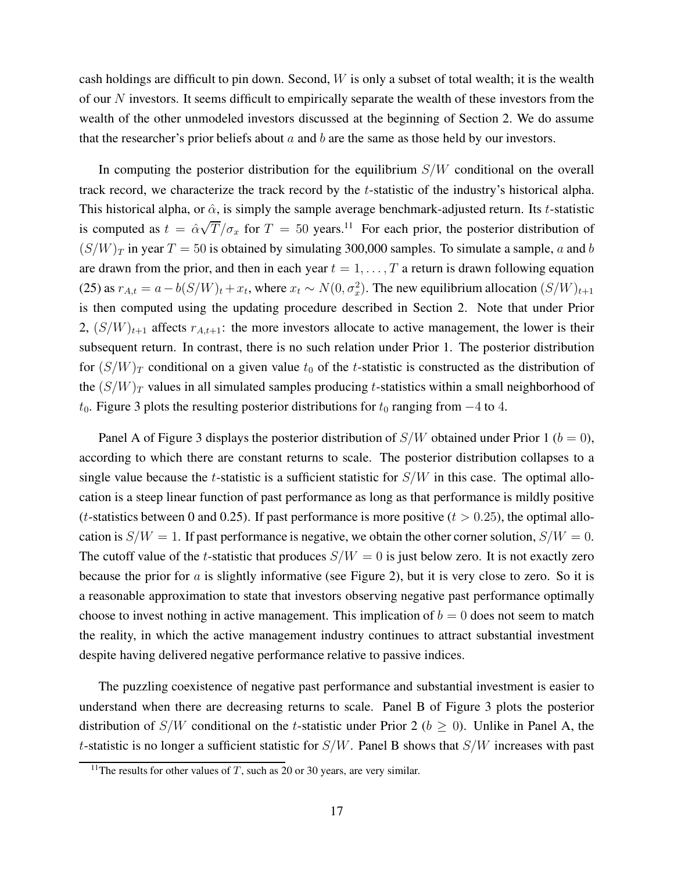cash holdings are difficult to pin down. Second,  $W$  is only a subset of total wealth; it is the wealth of our N investors. It seems difficult to empirically separate the wealth of these investors from the wealth of the other unmodeled investors discussed at the beginning of Section 2. We do assume that the researcher's prior beliefs about  $a$  and  $b$  are the same as those held by our investors.

In computing the posterior distribution for the equilibrium  $S/W$  conditional on the overall track record, we characterize the track record by the t-statistic of the industry's historical alpha. This historical alpha, or  $\hat{\alpha}$ , is simply the sample average benchmark-adjusted return. Its t-statistic is computed as  $t = \hat{\alpha}\sqrt{T}/\sigma_x$  for  $T = 50$  years.<sup>11</sup> For each prior, the posterior distribution of  $(S/W)_T$  in year  $T = 50$  is obtained by simulating 300,000 samples. To simulate a sample, a and b are drawn from the prior, and then in each year  $t = 1, \ldots, T$  a return is drawn following equation (25) as  $r_{A,t} = a - b(S/W)_t + x_t$ , where  $x_t \sim N(0, \sigma_x^2)$ . The new equilibrium allocation  $(S/W)_{t+1}$ is then computed using the updating procedure described in Section 2. Note that under Prior 2,  $(S/W)_{t+1}$  affects  $r_{A,t+1}$ : the more investors allocate to active management, the lower is their subsequent return. In contrast, there is no such relation under Prior 1. The posterior distribution for  $(S/W)_T$  conditional on a given value  $t_0$  of the t-statistic is constructed as the distribution of the  $(S/W)<sub>T</sub>$  values in all simulated samples producing t-statistics within a small neighborhood of  $t_0$ . Figure 3 plots the resulting posterior distributions for  $t_0$  ranging from  $-4$  to 4.

Panel A of Figure 3 displays the posterior distribution of  $S/W$  obtained under Prior 1 ( $b = 0$ ), according to which there are constant returns to scale. The posterior distribution collapses to a single value because the t-statistic is a sufficient statistic for  $S/W$  in this case. The optimal allocation is a steep linear function of past performance as long as that performance is mildly positive (*t*-statistics between 0 and 0.25). If past performance is more positive ( $t > 0.25$ ), the optimal allocation is  $S/W = 1$ . If past performance is negative, we obtain the other corner solution,  $S/W = 0$ . The cutoff value of the t-statistic that produces  $S/W = 0$  is just below zero. It is not exactly zero because the prior for  $a$  is slightly informative (see Figure 2), but it is very close to zero. So it is a reasonable approximation to state that investors observing negative past performance optimally choose to invest nothing in active management. This implication of  $b = 0$  does not seem to match the reality, in which the active management industry continues to attract substantial investment despite having delivered negative performance relative to passive indices.

The puzzling coexistence of negative past performance and substantial investment is easier to understand when there are decreasing returns to scale. Panel B of Figure 3 plots the posterior distribution of  $S/W$  conditional on the t-statistic under Prior 2 ( $b \ge 0$ ). Unlike in Panel A, the t-statistic is no longer a sufficient statistic for  $S/W$ . Panel B shows that  $S/W$  increases with past

<sup>&</sup>lt;sup>11</sup>The results for other values of T, such as 20 or 30 years, are very similar.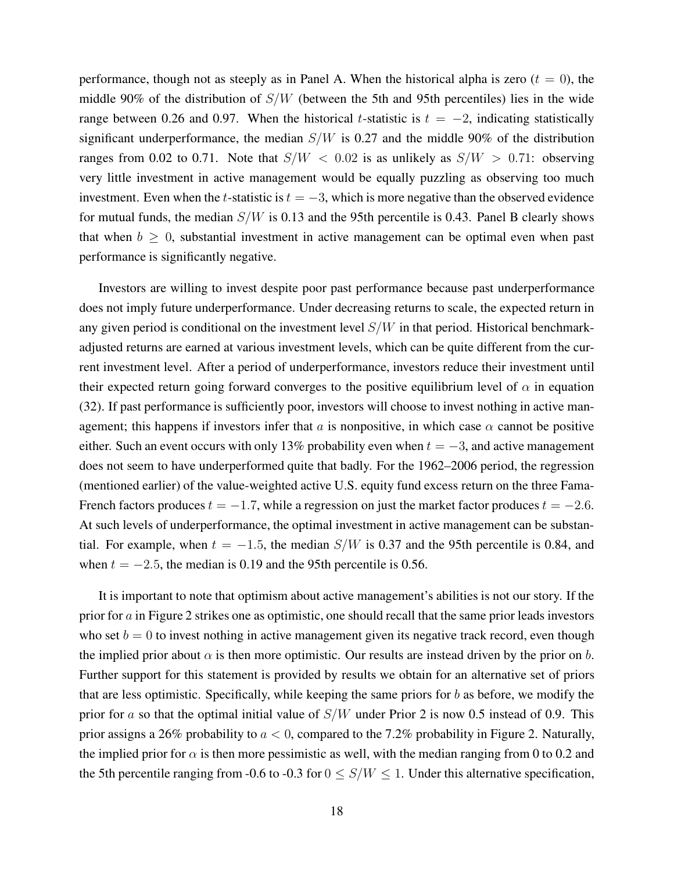performance, though not as steeply as in Panel A. When the historical alpha is zero  $(t = 0)$ , the middle 90% of the distribution of  $S/W$  (between the 5th and 95th percentiles) lies in the wide range between 0.26 and 0.97. When the historical t-statistic is  $t = -2$ , indicating statistically significant underperformance, the median  $S/W$  is 0.27 and the middle 90% of the distribution ranges from 0.02 to 0.71. Note that  $S/W < 0.02$  is as unlikely as  $S/W > 0.71$ : observing very little investment in active management would be equally puzzling as observing too much investment. Even when the t-statistic is  $t = -3$ , which is more negative than the observed evidence for mutual funds, the median  $S/W$  is 0.13 and the 95th percentile is 0.43. Panel B clearly shows that when  $b > 0$ , substantial investment in active management can be optimal even when past performance is significantly negative.

Investors are willing to invest despite poor past performance because past underperformance does not imply future underperformance. Under decreasing returns to scale, the expected return in any given period is conditional on the investment level  $S/W$  in that period. Historical benchmarkadjusted returns are earned at various investment levels, which can be quite different from the current investment level. After a period of underperformance, investors reduce their investment until their expected return going forward converges to the positive equilibrium level of  $\alpha$  in equation (32). If past performance is sufficiently poor, investors will choose to invest nothing in active management; this happens if investors infer that a is nonpositive, in which case  $\alpha$  cannot be positive either. Such an event occurs with only 13% probability even when  $t = -3$ , and active management does not seem to have underperformed quite that badly. For the 1962–2006 period, the regression (mentioned earlier) of the value-weighted active U.S. equity fund excess return on the three Fama-French factors produces  $t = -1.7$ , while a regression on just the market factor produces  $t = -2.6$ . At such levels of underperformance, the optimal investment in active management can be substantial. For example, when  $t = -1.5$ , the median  $S/W$  is 0.37 and the 95th percentile is 0.84, and when  $t = -2.5$ , the median is 0.19 and the 95th percentile is 0.56.

It is important to note that optimism about active management's abilities is not our story. If the prior for a in Figure 2 strikes one as optimistic, one should recall that the same prior leads investors who set  $b = 0$  to invest nothing in active management given its negative track record, even though the implied prior about  $\alpha$  is then more optimistic. Our results are instead driven by the prior on b. Further support for this statement is provided by results we obtain for an alternative set of priors that are less optimistic. Specifically, while keeping the same priors for b as before, we modify the prior for a so that the optimal initial value of  $S/W$  under Prior 2 is now 0.5 instead of 0.9. This prior assigns a 26% probability to  $a < 0$ , compared to the 7.2% probability in Figure 2. Naturally, the implied prior for  $\alpha$  is then more pessimistic as well, with the median ranging from 0 to 0.2 and the 5th percentile ranging from -0.6 to -0.3 for  $0 \leq S/W \leq 1$ . Under this alternative specification,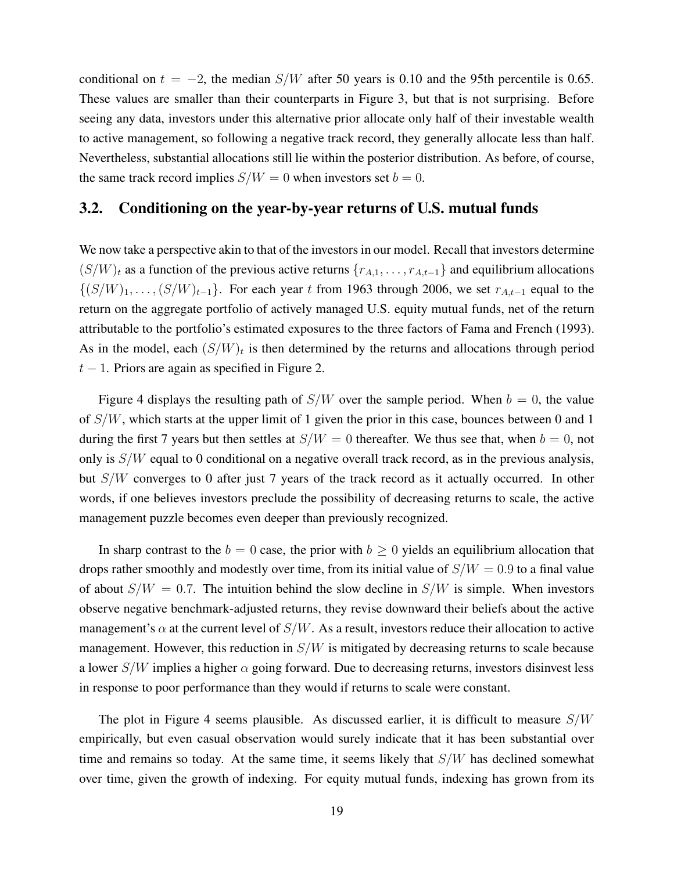conditional on  $t = -2$ , the median S/W after 50 years is 0.10 and the 95th percentile is 0.65. These values are smaller than their counterparts in Figure 3, but that is not surprising. Before seeing any data, investors under this alternative prior allocate only half of their investable wealth to active management, so following a negative track record, they generally allocate less than half. Nevertheless, substantial allocations still lie within the posterior distribution. As before, of course, the same track record implies  $S/W = 0$  when investors set  $b = 0$ .

### 3.2. Conditioning on the year-by-year returns of U.S. mutual funds

We now take a perspective akin to that of the investors in our model. Recall that investors determine  $(S/W)_t$  as a function of the previous active returns  $\{r_{A,1}, \ldots, r_{A,t-1}\}$  and equilibrium allocations  $\{(S/W)_1, \ldots, (S/W)_{t-1}\}.$  For each year t from 1963 through 2006, we set  $r_{A,t-1}$  equal to the return on the aggregate portfolio of actively managed U.S. equity mutual funds, net of the return attributable to the portfolio's estimated exposures to the three factors of Fama and French (1993). As in the model, each  $(S/W)_t$  is then determined by the returns and allocations through period  $t - 1$ . Priors are again as specified in Figure 2.

Figure 4 displays the resulting path of  $S/W$  over the sample period. When  $b = 0$ , the value of  $S/W$ , which starts at the upper limit of 1 given the prior in this case, bounces between 0 and 1 during the first 7 years but then settles at  $S/W = 0$  thereafter. We thus see that, when  $b = 0$ , not only is  $S/W$  equal to 0 conditional on a negative overall track record, as in the previous analysis, but  $S/W$  converges to 0 after just 7 years of the track record as it actually occurred. In other words, if one believes investors preclude the possibility of decreasing returns to scale, the active management puzzle becomes even deeper than previously recognized.

In sharp contrast to the  $b = 0$  case, the prior with  $b \ge 0$  yields an equilibrium allocation that drops rather smoothly and modestly over time, from its initial value of  $S/W = 0.9$  to a final value of about  $S/W = 0.7$ . The intuition behind the slow decline in  $S/W$  is simple. When investors observe negative benchmark-adjusted returns, they revise downward their beliefs about the active management's  $\alpha$  at the current level of  $S/W$ . As a result, investors reduce their allocation to active management. However, this reduction in  $S/W$  is mitigated by decreasing returns to scale because a lower  $S/W$  implies a higher  $\alpha$  going forward. Due to decreasing returns, investors disinvest less in response to poor performance than they would if returns to scale were constant.

The plot in Figure 4 seems plausible. As discussed earlier, it is difficult to measure  $S/W$ empirically, but even casual observation would surely indicate that it has been substantial over time and remains so today. At the same time, it seems likely that  $S/W$  has declined somewhat over time, given the growth of indexing. For equity mutual funds, indexing has grown from its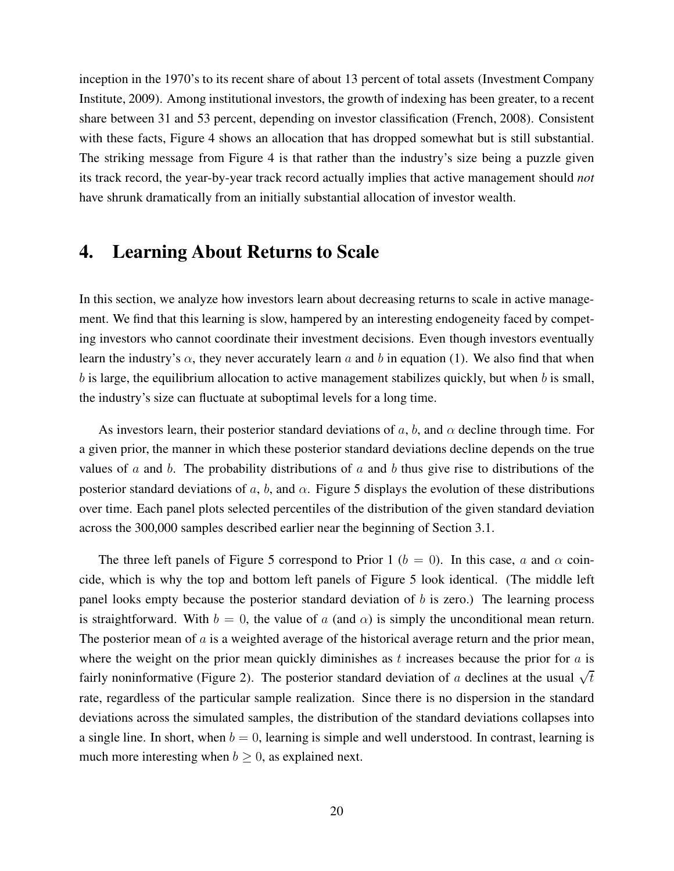inception in the 1970's to its recent share of about 13 percent of total assets (Investment Company Institute, 2009). Among institutional investors, the growth of indexing has been greater, to a recent share between 31 and 53 percent, depending on investor classification (French, 2008). Consistent with these facts, Figure 4 shows an allocation that has dropped somewhat but is still substantial. The striking message from Figure 4 is that rather than the industry's size being a puzzle given its track record, the year-by-year track record actually implies that active management should not have shrunk dramatically from an initially substantial allocation of investor wealth.

# 4. Learning About Returns to Scale

In this section, we analyze how investors learn about decreasing returns to scale in active management. We find that this learning is slow, hampered by an interesting endogeneity faced by competing investors who cannot coordinate their investment decisions. Even though investors eventually learn the industry's  $\alpha$ , they never accurately learn a and b in equation (1). We also find that when  $b$  is large, the equilibrium allocation to active management stabilizes quickly, but when  $b$  is small, the industry's size can fluctuate at suboptimal levels for a long time.

As investors learn, their posterior standard deviations of  $a, b$ , and  $\alpha$  decline through time. For a given prior, the manner in which these posterior standard deviations decline depends on the true values of a and b. The probability distributions of a and b thus give rise to distributions of the posterior standard deviations of a, b, and  $\alpha$ . Figure 5 displays the evolution of these distributions over time. Each panel plots selected percentiles of the distribution of the given standard deviation across the 300,000 samples described earlier near the beginning of Section 3.1.

The three left panels of Figure 5 correspond to Prior 1 ( $b = 0$ ). In this case, a and  $\alpha$  coincide, which is why the top and bottom left panels of Figure 5 look identical. (The middle left panel looks empty because the posterior standard deviation of  $b$  is zero.) The learning process is straightforward. With  $b = 0$ , the value of a (and  $\alpha$ ) is simply the unconditional mean return. The posterior mean of  $\alpha$  is a weighted average of the historical average return and the prior mean, where the weight on the prior mean quickly diminishes as  $t$  increases because the prior for  $a$  is fairly noninformative (Figure 2). The posterior standard deviation of a declines at the usual  $\sqrt{t}$ rate, regardless of the particular sample realization. Since there is no dispersion in the standard deviations across the simulated samples, the distribution of the standard deviations collapses into a single line. In short, when  $b = 0$ , learning is simple and well understood. In contrast, learning is much more interesting when  $b > 0$ , as explained next.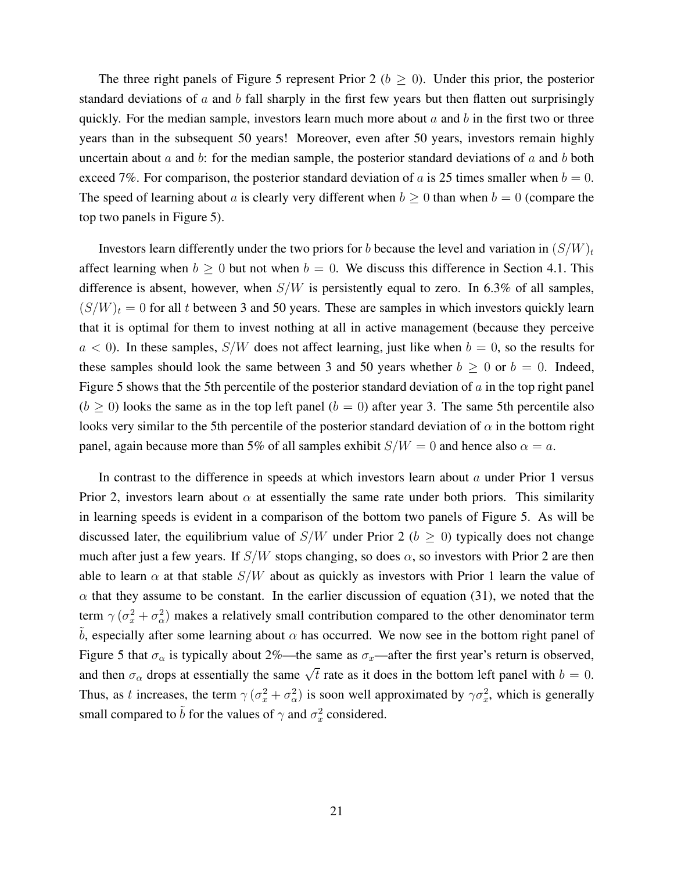The three right panels of Figure 5 represent Prior 2 ( $b \ge 0$ ). Under this prior, the posterior standard deviations of  $\alpha$  and  $\beta$  fall sharply in the first few years but then flatten out surprisingly quickly. For the median sample, investors learn much more about  $a$  and  $b$  in the first two or three years than in the subsequent 50 years! Moreover, even after 50 years, investors remain highly uncertain about a and b: for the median sample, the posterior standard deviations of a and b both exceed 7%. For comparison, the posterior standard deviation of a is 25 times smaller when  $b = 0$ . The speed of learning about a is clearly very different when  $b \ge 0$  than when  $b = 0$  (compare the top two panels in Figure 5).

Investors learn differently under the two priors for b because the level and variation in  $(S/W)_t$ affect learning when  $b \ge 0$  but not when  $b = 0$ . We discuss this difference in Section 4.1. This difference is absent, however, when  $S/W$  is persistently equal to zero. In 6.3% of all samples,  $(S/W)_t = 0$  for all t between 3 and 50 years. These are samples in which investors quickly learn that it is optimal for them to invest nothing at all in active management (because they perceive  $a < 0$ ). In these samples,  $S/W$  does not affect learning, just like when  $b = 0$ , so the results for these samples should look the same between 3 and 50 years whether  $b \ge 0$  or  $b = 0$ . Indeed, Figure 5 shows that the 5th percentile of the posterior standard deviation of  $\alpha$  in the top right panel  $(b \ge 0)$  looks the same as in the top left panel  $(b = 0)$  after year 3. The same 5th percentile also looks very similar to the 5th percentile of the posterior standard deviation of  $\alpha$  in the bottom right panel, again because more than 5% of all samples exhibit  $S/W = 0$  and hence also  $\alpha = a$ .

In contrast to the difference in speeds at which investors learn about  $a$  under Prior 1 versus Prior 2, investors learn about  $\alpha$  at essentially the same rate under both priors. This similarity in learning speeds is evident in a comparison of the bottom two panels of Figure 5. As will be discussed later, the equilibrium value of  $S/W$  under Prior 2 ( $b \ge 0$ ) typically does not change much after just a few years. If  $S/W$  stops changing, so does  $\alpha$ , so investors with Prior 2 are then able to learn  $\alpha$  at that stable  $S/W$  about as quickly as investors with Prior 1 learn the value of  $\alpha$  that they assume to be constant. In the earlier discussion of equation (31), we noted that the term  $\gamma (\sigma_x^2 + \sigma_\alpha^2)$  makes a relatively small contribution compared to the other denominator term b, especially after some learning about  $\alpha$  has occurred. We now see in the bottom right panel of Figure 5 that  $\sigma_{\alpha}$  is typically about 2%—the same as  $\sigma_{x}$ —after the first year's return is observed, and then  $\sigma_{\alpha}$  drops at essentially the same  $\sqrt{t}$  rate as it does in the bottom left panel with  $b = 0$ . Thus, as t increases, the term  $\gamma(\sigma_x^2 + \sigma_\alpha^2)$  is soon well approximated by  $\gamma\sigma_x^2$ , which is generally small compared to  $\tilde{b}$  for the values of  $\gamma$  and  $\sigma_x^2$  considered.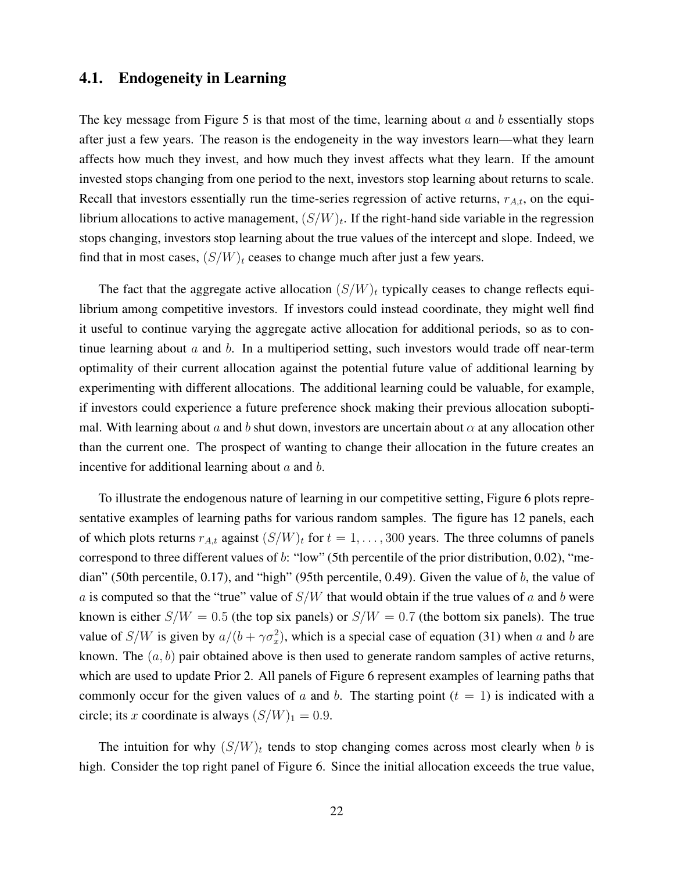#### 4.1. Endogeneity in Learning

The key message from Figure 5 is that most of the time, learning about  $\alpha$  and  $\beta$  essentially stops after just a few years. The reason is the endogeneity in the way investors learn—what they learn affects how much they invest, and how much they invest affects what they learn. If the amount invested stops changing from one period to the next, investors stop learning about returns to scale. Recall that investors essentially run the time-series regression of active returns,  $r_{A,t}$ , on the equilibrium allocations to active management,  $(S/W)_t$ . If the right-hand side variable in the regression stops changing, investors stop learning about the true values of the intercept and slope. Indeed, we find that in most cases,  $(S/W)_t$  ceases to change much after just a few years.

The fact that the aggregate active allocation  $(S/W)_t$  typically ceases to change reflects equilibrium among competitive investors. If investors could instead coordinate, they might well find it useful to continue varying the aggregate active allocation for additional periods, so as to continue learning about  $a$  and  $b$ . In a multiperiod setting, such investors would trade off near-term optimality of their current allocation against the potential future value of additional learning by experimenting with different allocations. The additional learning could be valuable, for example, if investors could experience a future preference shock making their previous allocation suboptimal. With learning about a and b shut down, investors are uncertain about  $\alpha$  at any allocation other than the current one. The prospect of wanting to change their allocation in the future creates an incentive for additional learning about  $a$  and  $b$ .

To illustrate the endogenous nature of learning in our competitive setting, Figure 6 plots representative examples of learning paths for various random samples. The figure has 12 panels, each of which plots returns  $r_{A,t}$  against  $(S/W)_t$  for  $t = 1, \ldots, 300$  years. The three columns of panels correspond to three different values of b: "low" (5th percentile of the prior distribution, 0.02), "median" (50th percentile, 0.17), and "high" (95th percentile, 0.49). Given the value of b, the value of a is computed so that the "true" value of  $S/W$  that would obtain if the true values of a and b were known is either  $S/W = 0.5$  (the top six panels) or  $S/W = 0.7$  (the bottom six panels). The true value of  $S/W$  is given by  $a/(b + \gamma \sigma_x^2)$ , which is a special case of equation (31) when a and b are known. The  $(a, b)$  pair obtained above is then used to generate random samples of active returns, which are used to update Prior 2. All panels of Figure 6 represent examples of learning paths that commonly occur for the given values of a and b. The starting point  $(t = 1)$  is indicated with a circle; its x coordinate is always  $(S/W)_1 = 0.9$ .

The intuition for why  $(S/W)_t$  tends to stop changing comes across most clearly when b is high. Consider the top right panel of Figure 6. Since the initial allocation exceeds the true value,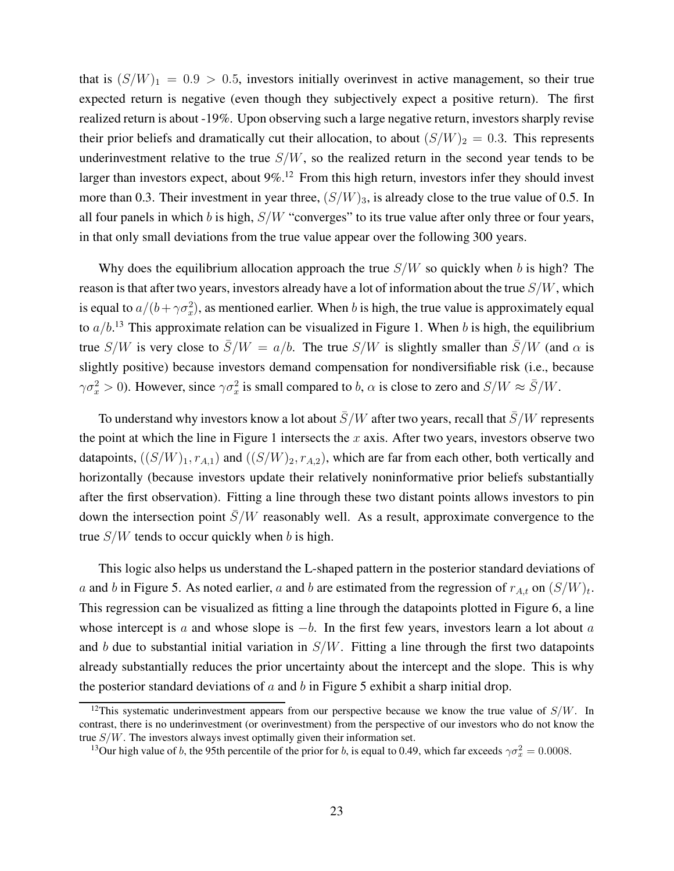that is  $(S/W)_1 = 0.9 > 0.5$ , investors initially overinvest in active management, so their true expected return is negative (even though they subjectively expect a positive return). The first realized return is about -19%. Upon observing such a large negative return, investors sharply revise their prior beliefs and dramatically cut their allocation, to about  $(S/W)_2 = 0.3$ . This represents underinvestment relative to the true  $S/W$ , so the realized return in the second year tends to be larger than investors expect, about  $9\%$ <sup>12</sup> From this high return, investors infer they should invest more than 0.3. Their investment in year three,  $(S/W)_3$ , is already close to the true value of 0.5. In all four panels in which b is high,  $S/W$  "converges" to its true value after only three or four years, in that only small deviations from the true value appear over the following 300 years.

Why does the equilibrium allocation approach the true  $S/W$  so quickly when b is high? The reason is that after two years, investors already have a lot of information about the true  $S/W$ , which is equal to  $a/(b + \gamma \sigma_x^2)$ , as mentioned earlier. When b is high, the true value is approximately equal to  $a/b$ <sup>13</sup>. This approximate relation can be visualized in Figure 1. When b is high, the equilibrium true S/W is very close to  $\overline{S}/W = a/b$ . The true S/W is slightly smaller than  $\overline{S}/W$  (and  $\alpha$  is slightly positive) because investors demand compensation for nondiversifiable risk (i.e., because  $\gamma \sigma_x^2 > 0$ ). However, since  $\gamma \sigma_x^2$  is small compared to b,  $\alpha$  is close to zero and  $S/W \approx \bar{S}/W$ .

To understand why investors know a lot about  $\bar{S}/W$  after two years, recall that  $\bar{S}/W$  represents the point at which the line in Figure 1 intersects the  $x$  axis. After two years, investors observe two datapoints,  $((S/W)_1, r_{A,1})$  and  $((S/W)_2, r_{A,2})$ , which are far from each other, both vertically and horizontally (because investors update their relatively noninformative prior beliefs substantially after the first observation). Fitting a line through these two distant points allows investors to pin down the intersection point  $\overline{S}/W$  reasonably well. As a result, approximate convergence to the true  $S/W$  tends to occur quickly when b is high.

This logic also helps us understand the L-shaped pattern in the posterior standard deviations of a and b in Figure 5. As noted earlier, a and b are estimated from the regression of  $r_{A,t}$  on  $(S/W)_t$ . This regression can be visualized as fitting a line through the datapoints plotted in Figure 6, a line whose intercept is a and whose slope is  $-b$ . In the first few years, investors learn a lot about a and b due to substantial initial variation in  $S/W$ . Fitting a line through the first two datapoints already substantially reduces the prior uncertainty about the intercept and the slope. This is why the posterior standard deviations of  $a$  and  $b$  in Figure 5 exhibit a sharp initial drop.

<sup>&</sup>lt;sup>12</sup>This systematic underinvestment appears from our perspective because we know the true value of  $S/W$ . In contrast, there is no underinvestment (or overinvestment) from the perspective of our investors who do not know the true S/W. The investors always invest optimally given their information set.

<sup>&</sup>lt;sup>13</sup>Our high value of b, the 95th percentile of the prior for b, is equal to 0.49, which far exceeds  $\gamma \sigma_x^2 = 0.0008$ .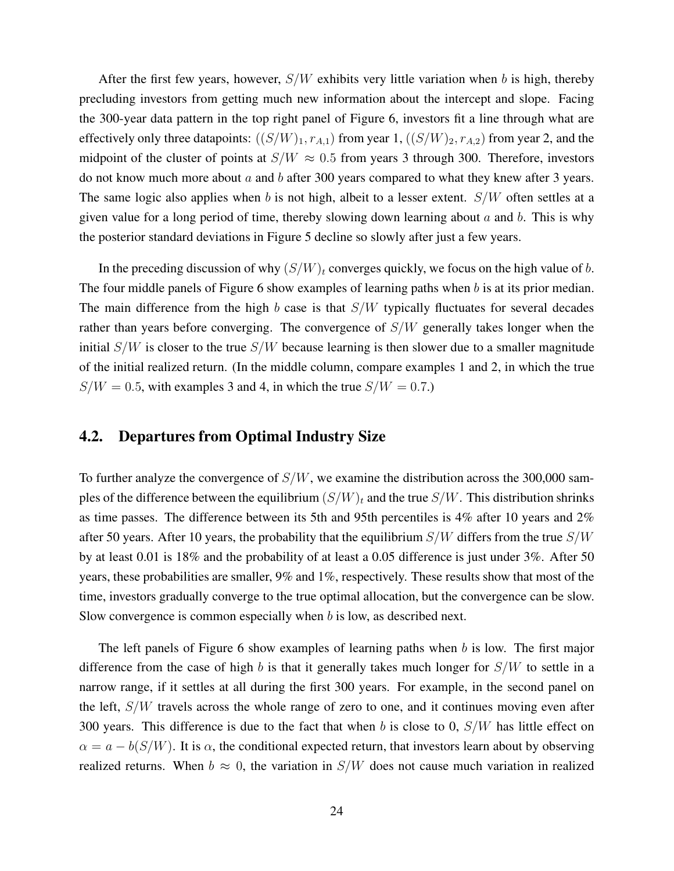After the first few years, however,  $S/W$  exhibits very little variation when b is high, thereby precluding investors from getting much new information about the intercept and slope. Facing the 300-year data pattern in the top right panel of Figure 6, investors fit a line through what are effectively only three datapoints:  $((S/W)_1, r_{A,1})$  from year 1,  $((S/W)_2, r_{A,2})$  from year 2, and the midpoint of the cluster of points at  $S/W \approx 0.5$  from years 3 through 300. Therefore, investors do not know much more about  $a$  and  $b$  after 300 years compared to what they knew after 3 years. The same logic also applies when b is not high, albeit to a lesser extent.  $S/W$  often settles at a given value for a long period of time, thereby slowing down learning about  $a$  and  $b$ . This is why the posterior standard deviations in Figure 5 decline so slowly after just a few years.

In the preceding discussion of why  $(S/W)_t$  converges quickly, we focus on the high value of b. The four middle panels of Figure 6 show examples of learning paths when  $b$  is at its prior median. The main difference from the high b case is that  $S/W$  typically fluctuates for several decades rather than years before converging. The convergence of S/W generally takes longer when the initial  $S/W$  is closer to the true  $S/W$  because learning is then slower due to a smaller magnitude of the initial realized return. (In the middle column, compare examples 1 and 2, in which the true  $S/W = 0.5$ , with examples 3 and 4, in which the true  $S/W = 0.7$ .

#### 4.2. Departures from Optimal Industry Size

To further analyze the convergence of  $S/W$ , we examine the distribution across the 300,000 samples of the difference between the equilibrium  $(S/W)_t$  and the true  $S/W$ . This distribution shrinks as time passes. The difference between its 5th and 95th percentiles is 4% after 10 years and 2% after 50 years. After 10 years, the probability that the equilibrium  $S/W$  differs from the true  $S/W$ by at least 0.01 is 18% and the probability of at least a 0.05 difference is just under 3%. After 50 years, these probabilities are smaller, 9% and 1%, respectively. These results show that most of the time, investors gradually converge to the true optimal allocation, but the convergence can be slow. Slow convergence is common especially when  $b$  is low, as described next.

The left panels of Figure 6 show examples of learning paths when b is low. The first major difference from the case of high b is that it generally takes much longer for  $S/W$  to settle in a narrow range, if it settles at all during the first 300 years. For example, in the second panel on the left,  $S/W$  travels across the whole range of zero to one, and it continues moving even after 300 years. This difference is due to the fact that when b is close to 0,  $S/W$  has little effect on  $\alpha = a - b(S/W)$ . It is  $\alpha$ , the conditional expected return, that investors learn about by observing realized returns. When  $b \approx 0$ , the variation in  $S/W$  does not cause much variation in realized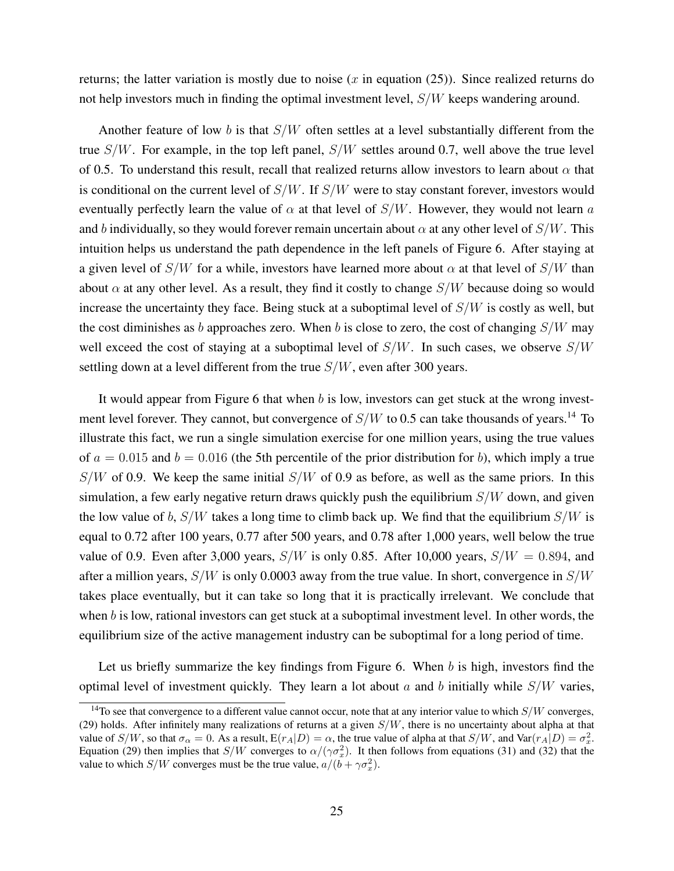returns; the latter variation is mostly due to noise (x in equation (25)). Since realized returns do not help investors much in finding the optimal investment level, S/W keeps wandering around.

Another feature of low b is that  $S/W$  often settles at a level substantially different from the true  $S/W$ . For example, in the top left panel,  $S/W$  settles around 0.7, well above the true level of 0.5. To understand this result, recall that realized returns allow investors to learn about  $\alpha$  that is conditional on the current level of  $S/W$ . If  $S/W$  were to stay constant forever, investors would eventually perfectly learn the value of  $\alpha$  at that level of  $S/W$ . However, they would not learn a and b individually, so they would forever remain uncertain about  $\alpha$  at any other level of  $S/W$ . This intuition helps us understand the path dependence in the left panels of Figure 6. After staying at a given level of  $S/W$  for a while, investors have learned more about  $\alpha$  at that level of  $S/W$  than about  $\alpha$  at any other level. As a result, they find it costly to change  $S/W$  because doing so would increase the uncertainty they face. Being stuck at a suboptimal level of  $S/W$  is costly as well, but the cost diminishes as b approaches zero. When b is close to zero, the cost of changing  $S/W$  may well exceed the cost of staying at a suboptimal level of  $S/W$ . In such cases, we observe  $S/W$ settling down at a level different from the true  $S/W$ , even after 300 years.

It would appear from Figure 6 that when  $b$  is low, investors can get stuck at the wrong investment level forever. They cannot, but convergence of  $S/W$  to 0.5 can take thousands of years.<sup>14</sup> To illustrate this fact, we run a single simulation exercise for one million years, using the true values of  $a = 0.015$  and  $b = 0.016$  (the 5th percentile of the prior distribution for b), which imply a true  $S/W$  of 0.9. We keep the same initial  $S/W$  of 0.9 as before, as well as the same priors. In this simulation, a few early negative return draws quickly push the equilibrium  $S/W$  down, and given the low value of b,  $S/W$  takes a long time to climb back up. We find that the equilibrium  $S/W$  is equal to 0.72 after 100 years, 0.77 after 500 years, and 0.78 after 1,000 years, well below the true value of 0.9. Even after 3,000 years,  $S/W$  is only 0.85. After 10,000 years,  $S/W = 0.894$ , and after a million years,  $S/W$  is only 0.0003 away from the true value. In short, convergence in  $S/W$ takes place eventually, but it can take so long that it is practically irrelevant. We conclude that when  $b$  is low, rational investors can get stuck at a suboptimal investment level. In other words, the equilibrium size of the active management industry can be suboptimal for a long period of time.

Let us briefly summarize the key findings from Figure 6. When  $b$  is high, investors find the optimal level of investment quickly. They learn a lot about  $a$  and  $b$  initially while  $S/W$  varies,

<sup>&</sup>lt;sup>14</sup>To see that convergence to a different value cannot occur, note that at any interior value to which  $S/W$  converges, (29) holds. After infinitely many realizations of returns at a given  $S/W$ , there is no uncertainty about alpha at that value of  $S/W$ , so that  $\sigma_{\alpha} = 0$ . As a result,  $E(r_A|D) = \alpha$ , the true value of alpha at that  $S/W$ , and  $Var(r_A|D) = \sigma_x^2$ . Equation (29) then implies that  $S/W$  converges to  $\alpha/(\gamma \sigma_x^2)$ . It then follows from equations (31) and (32) that the value to which  $S/W$  converges must be the true value,  $a/(\tilde{b} + \gamma \sigma_x^2)$ .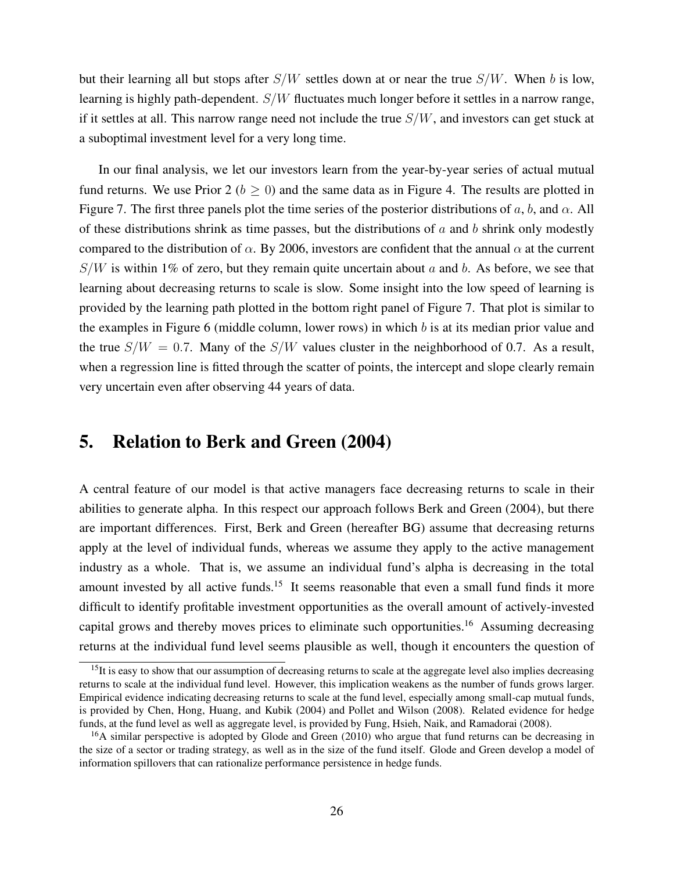but their learning all but stops after  $S/W$  settles down at or near the true  $S/W$ . When b is low, learning is highly path-dependent.  $S/W$  fluctuates much longer before it settles in a narrow range, if it settles at all. This narrow range need not include the true  $S/W$ , and investors can get stuck at a suboptimal investment level for a very long time.

In our final analysis, we let our investors learn from the year-by-year series of actual mutual fund returns. We use Prior 2 ( $b \ge 0$ ) and the same data as in Figure 4. The results are plotted in Figure 7. The first three panels plot the time series of the posterior distributions of a, b, and  $\alpha$ . All of these distributions shrink as time passes, but the distributions of  $a$  and  $b$  shrink only modestly compared to the distribution of  $\alpha$ . By 2006, investors are confident that the annual  $\alpha$  at the current  $S/W$  is within 1% of zero, but they remain quite uncertain about a and b. As before, we see that learning about decreasing returns to scale is slow. Some insight into the low speed of learning is provided by the learning path plotted in the bottom right panel of Figure 7. That plot is similar to the examples in Figure 6 (middle column, lower rows) in which  $b$  is at its median prior value and the true  $S/W = 0.7$ . Many of the  $S/W$  values cluster in the neighborhood of 0.7. As a result, when a regression line is fitted through the scatter of points, the intercept and slope clearly remain very uncertain even after observing 44 years of data.

## 5. Relation to Berk and Green (2004)

A central feature of our model is that active managers face decreasing returns to scale in their abilities to generate alpha. In this respect our approach follows Berk and Green (2004), but there are important differences. First, Berk and Green (hereafter BG) assume that decreasing returns apply at the level of individual funds, whereas we assume they apply to the active management industry as a whole. That is, we assume an individual fund's alpha is decreasing in the total amount invested by all active funds.<sup>15</sup> It seems reasonable that even a small fund finds it more difficult to identify profitable investment opportunities as the overall amount of actively-invested capital grows and thereby moves prices to eliminate such opportunities.<sup>16</sup> Assuming decreasing returns at the individual fund level seems plausible as well, though it encounters the question of

 $15$ It is easy to show that our assumption of decreasing returns to scale at the aggregate level also implies decreasing returns to scale at the individual fund level. However, this implication weakens as the number of funds grows larger. Empirical evidence indicating decreasing returns to scale at the fund level, especially among small-cap mutual funds, is provided by Chen, Hong, Huang, and Kubik (2004) and Pollet and Wilson (2008). Related evidence for hedge funds, at the fund level as well as aggregate level, is provided by Fung, Hsieh, Naik, and Ramadorai (2008).

<sup>&</sup>lt;sup>16</sup>A similar perspective is adopted by Glode and Green (2010) who argue that fund returns can be decreasing in the size of a sector or trading strategy, as well as in the size of the fund itself. Glode and Green develop a model of information spillovers that can rationalize performance persistence in hedge funds.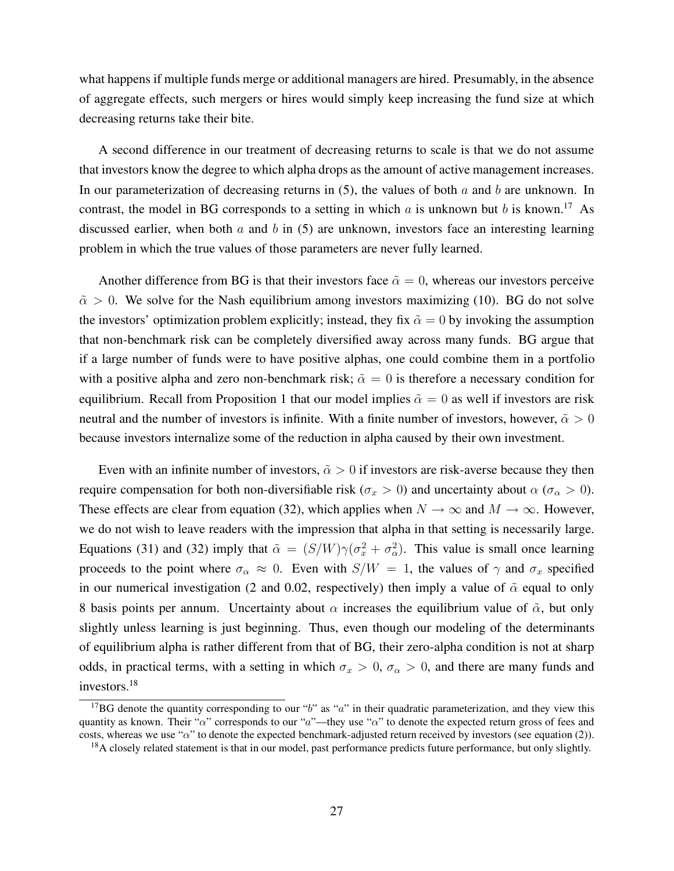what happens if multiple funds merge or additional managers are hired. Presumably, in the absence of aggregate effects, such mergers or hires would simply keep increasing the fund size at which decreasing returns take their bite.

A second difference in our treatment of decreasing returns to scale is that we do not assume that investors know the degree to which alpha drops as the amount of active management increases. In our parameterization of decreasing returns in  $(5)$ , the values of both a and b are unknown. In contrast, the model in BG corresponds to a setting in which a is unknown but b is known.<sup>17</sup> As discussed earlier, when both  $a$  and  $b$  in (5) are unknown, investors face an interesting learning problem in which the true values of those parameters are never fully learned.

Another difference from BG is that their investors face  $\tilde{\alpha} = 0$ , whereas our investors perceive  $\tilde{\alpha} > 0$ . We solve for the Nash equilibrium among investors maximizing (10). BG do not solve the investors' optimization problem explicitly; instead, they fix  $\tilde{\alpha} = 0$  by invoking the assumption that non-benchmark risk can be completely diversified away across many funds. BG argue that if a large number of funds were to have positive alphas, one could combine them in a portfolio with a positive alpha and zero non-benchmark risk;  $\tilde{\alpha} = 0$  is therefore a necessary condition for equilibrium. Recall from Proposition 1 that our model implies  $\tilde{\alpha} = 0$  as well if investors are risk neutral and the number of investors is infinite. With a finite number of investors, however,  $\tilde{\alpha} > 0$ because investors internalize some of the reduction in alpha caused by their own investment.

Even with an infinite number of investors,  $\tilde{\alpha} > 0$  if investors are risk-averse because they then require compensation for both non-diversifiable risk ( $\sigma_x > 0$ ) and uncertainty about  $\alpha$  ( $\sigma_\alpha > 0$ ). These effects are clear from equation (32), which applies when  $N \to \infty$  and  $M \to \infty$ . However, we do not wish to leave readers with the impression that alpha in that setting is necessarily large. Equations (31) and (32) imply that  $\tilde{\alpha} = (S/W)\gamma(\sigma_x^2 + \sigma_{\alpha}^2)$ . This value is small once learning proceeds to the point where  $\sigma_{\alpha} \approx 0$ . Even with  $S/W = 1$ , the values of  $\gamma$  and  $\sigma_x$  specified in our numerical investigation (2 and 0.02, respectively) then imply a value of  $\tilde{\alpha}$  equal to only 8 basis points per annum. Uncertainty about  $\alpha$  increases the equilibrium value of  $\tilde{\alpha}$ , but only slightly unless learning is just beginning. Thus, even though our modeling of the determinants of equilibrium alpha is rather different from that of BG, their zero-alpha condition is not at sharp odds, in practical terms, with a setting in which  $\sigma_x > 0$ ,  $\sigma_\alpha > 0$ , and there are many funds and investors.<sup>18</sup>

<sup>&</sup>lt;sup>17</sup>BG denote the quantity corresponding to our "b" as "a" in their quadratic parameterization, and they view this quantity as known. Their " $\alpha$ " corresponds to our " $a$ "—they use " $\alpha$ " to denote the expected return gross of fees and costs, whereas we use " $\alpha$ " to denote the expected benchmark-adjusted return received by investors (see equation (2)).

<sup>&</sup>lt;sup>18</sup>A closely related statement is that in our model, past performance predicts future performance, but only slightly.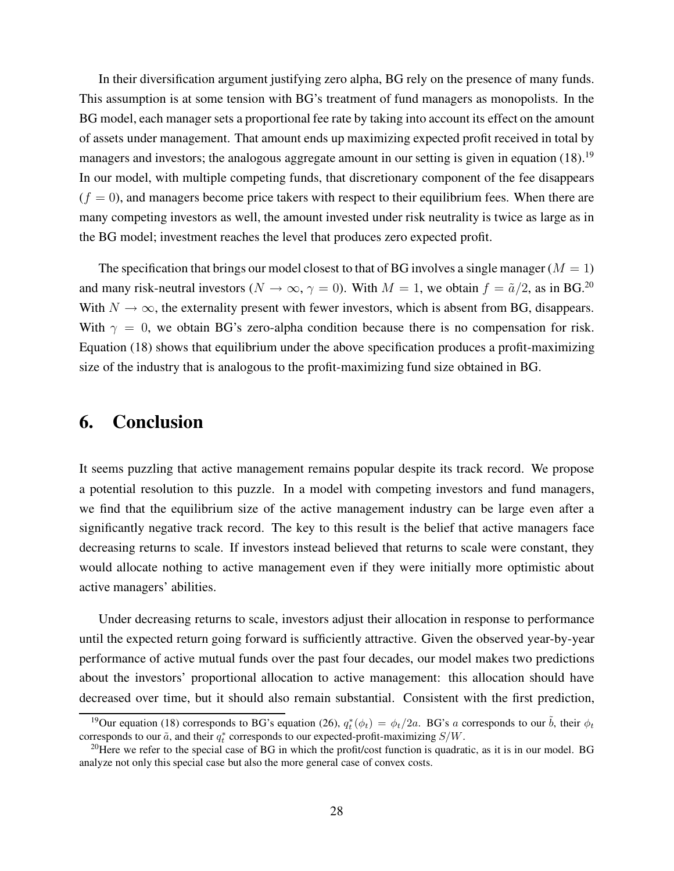In their diversification argument justifying zero alpha, BG rely on the presence of many funds. This assumption is at some tension with BG's treatment of fund managers as monopolists. In the BG model, each manager sets a proportional fee rate by taking into account its effect on the amount of assets under management. That amount ends up maximizing expected profit received in total by managers and investors; the analogous aggregate amount in our setting is given in equation  $(18)$ .<sup>19</sup> In our model, with multiple competing funds, that discretionary component of the fee disappears  $(f = 0)$ , and managers become price takers with respect to their equilibrium fees. When there are many competing investors as well, the amount invested under risk neutrality is twice as large as in the BG model; investment reaches the level that produces zero expected profit.

The specification that brings our model closest to that of BG involves a single manager ( $M = 1$ ) and many risk-neutral investors ( $N \to \infty$ ,  $\gamma = 0$ ). With  $M = 1$ , we obtain  $f = \tilde{a}/2$ , as in BG.<sup>20</sup> With  $N \to \infty$ , the externality present with fewer investors, which is absent from BG, disappears. With  $\gamma = 0$ , we obtain BG's zero-alpha condition because there is no compensation for risk. Equation (18) shows that equilibrium under the above specification produces a profit-maximizing size of the industry that is analogous to the profit-maximizing fund size obtained in BG.

# 6. Conclusion

It seems puzzling that active management remains popular despite its track record. We propose a potential resolution to this puzzle. In a model with competing investors and fund managers, we find that the equilibrium size of the active management industry can be large even after a significantly negative track record. The key to this result is the belief that active managers face decreasing returns to scale. If investors instead believed that returns to scale were constant, they would allocate nothing to active management even if they were initially more optimistic about active managers' abilities.

Under decreasing returns to scale, investors adjust their allocation in response to performance until the expected return going forward is sufficiently attractive. Given the observed year-by-year performance of active mutual funds over the past four decades, our model makes two predictions about the investors' proportional allocation to active management: this allocation should have decreased over time, but it should also remain substantial. Consistent with the first prediction,

<sup>&</sup>lt;sup>19</sup>Our equation (18) corresponds to BG's equation (26),  $q_t^*(\phi_t) = \phi_t/2a$ . BG's a corresponds to our  $\tilde{b}$ , their  $\phi_t$ corresponds to our  $\tilde{a}$ , and their  $q_t^*$  corresponds to our expected-profit-maximizing  $S/W$ .

<sup>&</sup>lt;sup>20</sup>Here we refer to the special case of BG in which the profit/cost function is quadratic, as it is in our model. BG analyze not only this special case but also the more general case of convex costs.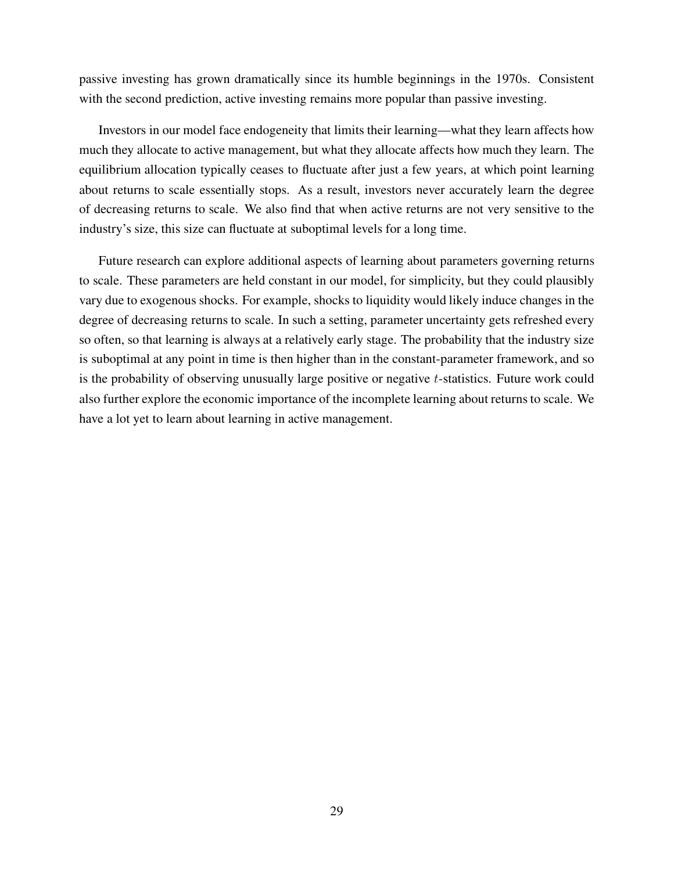passive investing has grown dramatically since its humble beginnings in the 1970s. Consistent with the second prediction, active investing remains more popular than passive investing.

Investors in our model face endogeneity that limits their learning—what they learn affects how much they allocate to active management, but what they allocate affects how much they learn. The equilibrium allocation typically ceases to fluctuate after just a few years, at which point learning about returns to scale essentially stops. As a result, investors never accurately learn the degree of decreasing returns to scale. We also find that when active returns are not very sensitive to the industry's size, this size can fluctuate at suboptimal levels for a long time.

Future research can explore additional aspects of learning about parameters governing returns to scale. These parameters are held constant in our model, for simplicity, but they could plausibly vary due to exogenous shocks. For example, shocks to liquidity would likely induce changes in the degree of decreasing returns to scale. In such a setting, parameter uncertainty gets refreshed every so often, so that learning is always at a relatively early stage. The probability that the industry size is suboptimal at any point in time is then higher than in the constant-parameter framework, and so is the probability of observing unusually large positive or negative t-statistics. Future work could also further explore the economic importance of the incomplete learning about returns to scale. We have a lot yet to learn about learning in active management.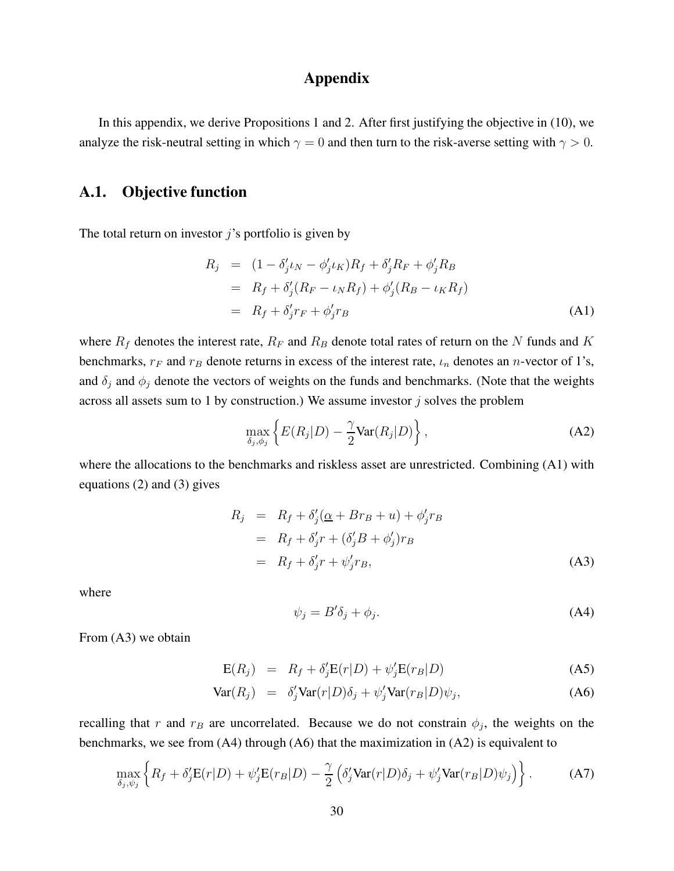## Appendix

In this appendix, we derive Propositions 1 and 2. After first justifying the objective in (10), we analyze the risk-neutral setting in which  $\gamma = 0$  and then turn to the risk-averse setting with  $\gamma > 0$ .

## A.1. Objective function

The total return on investor  $\hat{\jmath}$ 's portfolio is given by

$$
R_j = (1 - \delta'_j \iota_N - \phi'_j \iota_K) R_f + \delta'_j R_F + \phi'_j R_B = R_f + \delta'_j (R_F - \iota_N R_f) + \phi'_j (R_B - \iota_K R_f) = R_f + \delta'_j r_F + \phi'_j r_B
$$
 (A1)

where  $R_f$  denotes the interest rate,  $R_F$  and  $R_B$  denote total rates of return on the N funds and K benchmarks,  $r_F$  and  $r_B$  denote returns in excess of the interest rate,  $\iota_n$  denotes an *n*-vector of 1's, and  $\delta_i$  and  $\phi_j$  denote the vectors of weights on the funds and benchmarks. (Note that the weights across all assets sum to 1 by construction.) We assume investor  $j$  solves the problem

$$
\max_{\delta_j, \phi_j} \left\{ E(R_j|D) - \frac{\gamma}{2} \text{Var}(R_j|D) \right\},\tag{A2}
$$

where the allocations to the benchmarks and riskless asset are unrestricted. Combining (A1) with equations (2) and (3) gives

$$
R_j = R_f + \delta'_j(\underline{\alpha} + Br_B + u) + \phi'_j r_B
$$
  
=  $R_f + \delta'_j r + (\delta'_j B + \phi'_j) r_B$   
=  $R_f + \delta'_j r + \psi'_j r_B,$  (A3)

where

$$
\psi_j = B'\delta_j + \phi_j. \tag{A4}
$$

From (A3) we obtain

$$
E(R_j) = R_f + \delta'_j E(r|D) + \psi'_j E(r_B|D)
$$
 (A5)

$$
\text{Var}(R_j) = \delta_j' \text{Var}(r|D)\delta_j + \psi_j' \text{Var}(r_B|D)\psi_j, \tag{A6}
$$

recalling that r and  $r_B$  are uncorrelated. Because we do not constrain  $\phi_j$ , the weights on the benchmarks, we see from (A4) through (A6) that the maximization in (A2) is equivalent to

$$
\max_{\delta_j, \psi_j} \left\{ R_f + \delta'_j \mathbf{E}(r|D) + \psi'_j \mathbf{E}(r_B|D) - \frac{\gamma}{2} \left( \delta'_j \text{Var}(r|D) \delta_j + \psi'_j \text{Var}(r_B|D) \psi_j \right) \right\}.
$$
 (A7)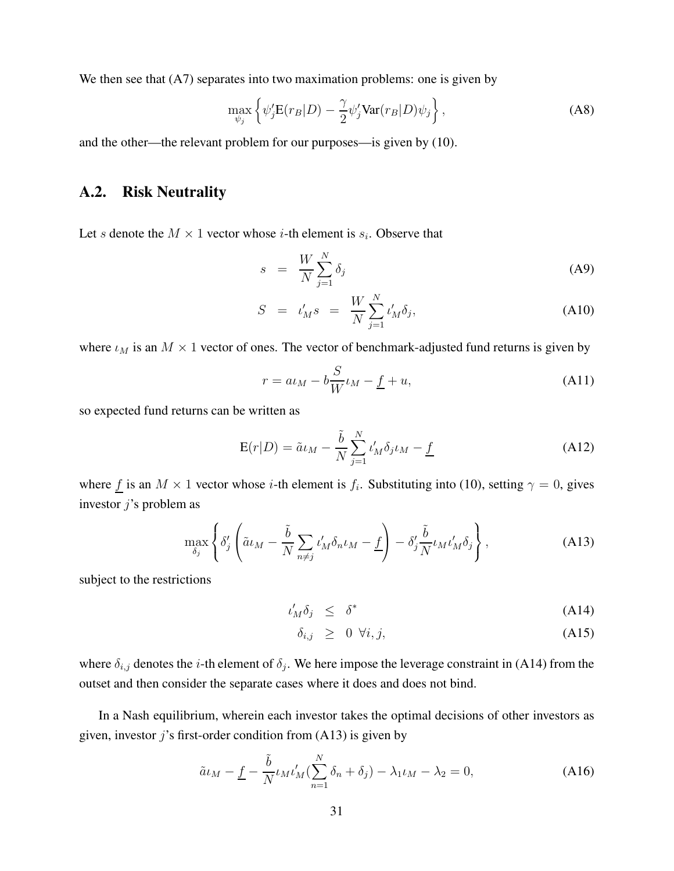We then see that  $(A7)$  separates into two maximation problems: one is given by

$$
\max_{\psi_j} \left\{ \psi_j' \mathbf{E}(r_B|D) - \frac{\gamma}{2} \psi_j' \text{Var}(r_B|D) \psi_j \right\},\tag{A8}
$$

and the other—the relevant problem for our purposes—is given by (10).

### A.2. Risk Neutrality

Let *s* denote the  $M \times 1$  vector whose *i*-th element is  $s_i$ . Observe that

$$
s = \frac{W}{N} \sum_{j=1}^{N} \delta_j \tag{A9}
$$

$$
S = \iota'_{M} s = \frac{W}{N} \sum_{j=1}^{N} \iota'_{M} \delta_{j}, \qquad (A10)
$$

where  $\iota_M$  is an  $M \times 1$  vector of ones. The vector of benchmark-adjusted fund returns is given by

$$
r = a\iota_M - b\frac{S}{W}\iota_M - \underline{f} + u,\tag{A11}
$$

so expected fund returns can be written as

$$
E(r|D) = \tilde{a}\iota_M - \frac{\tilde{b}}{N} \sum_{j=1}^{N} \iota'_M \delta_j \iota_M - \underline{f}
$$
 (A12)

where  $\underline{f}$  is an  $M \times 1$  vector whose *i*-th element is  $f_i$ . Substituting into (10), setting  $\gamma = 0$ , gives investor  $j$ 's problem as

$$
\max_{\delta_j} \left\{ \delta_j' \left( \tilde{a} \iota_M - \frac{\tilde{b}}{N} \sum_{n \neq j} \iota_M' \delta_n \iota_M - \underline{f} \right) - \delta_j' \frac{\tilde{b}}{N} \iota_M \iota_M' \delta_j \right\},
$$
\n(A13)

subject to the restrictions

$$
t'_M \delta_j \leq \delta^* \tag{A14}
$$

$$
\delta_{i,j} \geq 0 \ \forall i,j,
$$
\n(A15)

where  $\delta_{i,j}$  denotes the *i*-th element of  $\delta_j$ . We here impose the leverage constraint in (A14) from the outset and then consider the separate cases where it does and does not bind.

In a Nash equilibrium, wherein each investor takes the optimal decisions of other investors as given, investor  $j$ 's first-order condition from (A13) is given by

$$
\tilde{a}\iota_M - \underline{f} - \frac{\tilde{b}}{N} \iota_M \iota_M'(\sum_{n=1}^N \delta_n + \delta_j) - \lambda_1 \iota_M - \lambda_2 = 0,
$$
\n(A16)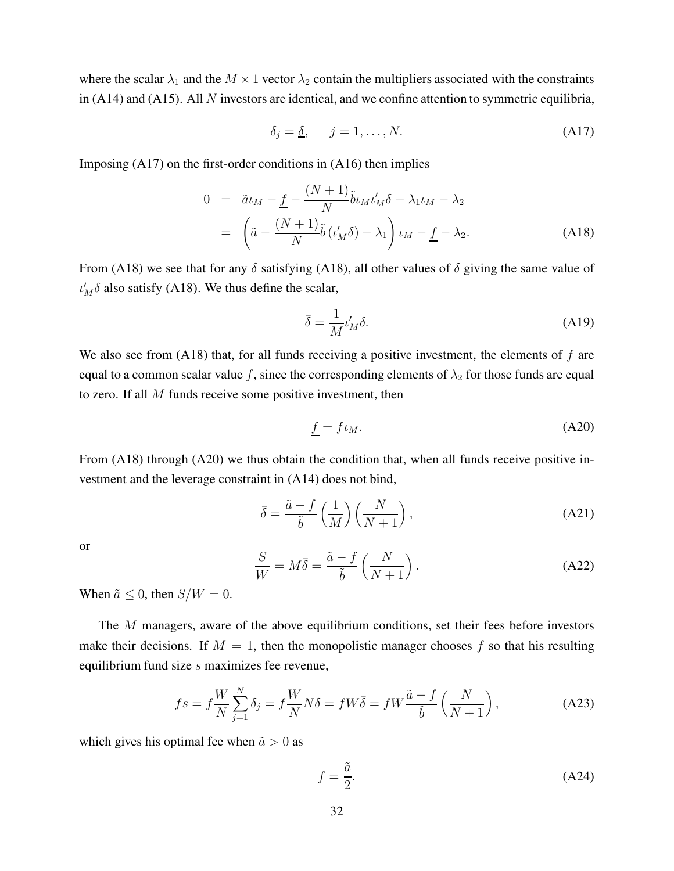where the scalar  $\lambda_1$  and the  $M \times 1$  vector  $\lambda_2$  contain the multipliers associated with the constraints in (A14) and (A15). All  $N$  investors are identical, and we confine attention to symmetric equilibria,

$$
\delta_j = \underline{\delta}, \qquad j = 1, \dots, N. \tag{A17}
$$

Imposing (A17) on the first-order conditions in (A16) then implies

$$
0 = \tilde{a}\iota_M - \underline{f} - \frac{(N+1)}{N} \tilde{b}\iota_M \iota_M' \delta - \lambda_1 \iota_M - \lambda_2
$$
  
= 
$$
\left( \tilde{a} - \frac{(N+1)}{N} \tilde{b}\left(\iota_M' \delta\right) - \lambda_1 \right) \iota_M - \underline{f} - \lambda_2.
$$
 (A18)

From (A18) we see that for any  $\delta$  satisfying (A18), all other values of  $\delta$  giving the same value of  $\iota'_M \delta$  also satisfy (A18). We thus define the scalar,

$$
\bar{\delta} = \frac{1}{M} \iota_M' \delta. \tag{A19}
$$

We also see from  $(A18)$  that, for all funds receiving a positive investment, the elements of f are equal to a common scalar value f, since the corresponding elements of  $\lambda_2$  for those funds are equal to zero. If all M funds receive some positive investment, then

$$
\underline{f} = f \iota_M. \tag{A20}
$$

From (A18) through (A20) we thus obtain the condition that, when all funds receive positive investment and the leverage constraint in (A14) does not bind,

$$
\bar{\delta} = \frac{\tilde{a} - f}{\tilde{b}} \left( \frac{1}{M} \right) \left( \frac{N}{N+1} \right),\tag{A21}
$$

or

$$
\frac{S}{W} = M\bar{\delta} = \frac{\tilde{a} - f}{\tilde{b}} \left( \frac{N}{N+1} \right). \tag{A22}
$$

When  $\tilde{a} \leq 0$ , then  $S/W = 0$ .

The M managers, aware of the above equilibrium conditions, set their fees before investors make their decisions. If  $M = 1$ , then the monopolistic manager chooses f so that his resulting equilibrium fund size s maximizes fee revenue,

$$
fs = f\frac{W}{N}\sum_{j=1}^{N}\delta_j = f\frac{W}{N}N\delta = fW\overline{\delta} = fW\frac{\tilde{a}-f}{\tilde{b}}\left(\frac{N}{N+1}\right),\tag{A23}
$$

which gives his optimal fee when  $\tilde{a} > 0$  as

$$
f = \frac{\tilde{a}}{2}.\tag{A24}
$$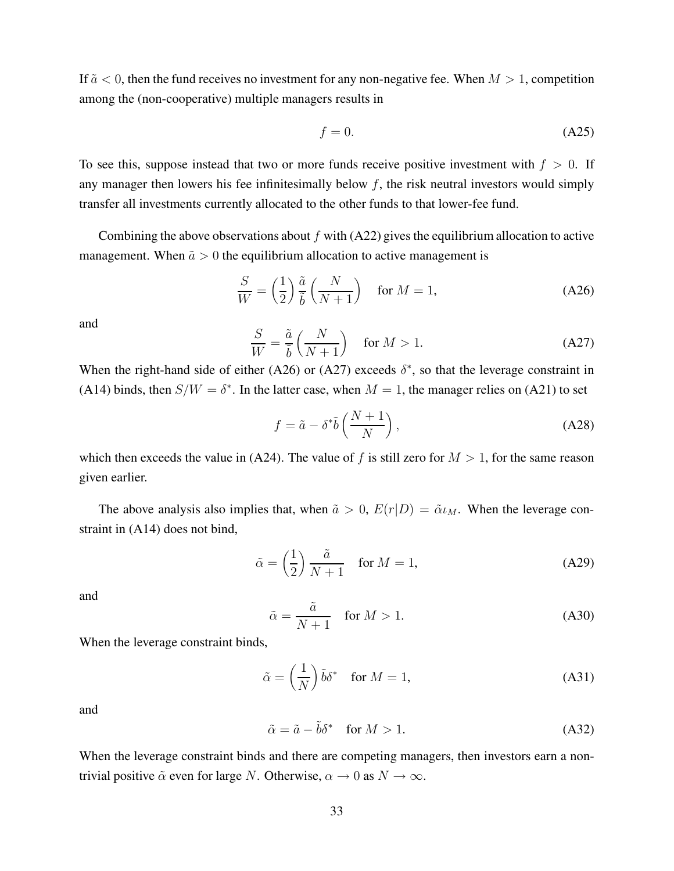If  $\tilde{a} < 0$ , then the fund receives no investment for any non-negative fee. When  $M > 1$ , competition among the (non-cooperative) multiple managers results in

$$
f = 0.\tag{A25}
$$

To see this, suppose instead that two or more funds receive positive investment with  $f > 0$ . If any manager then lowers his fee infinitesimally below  $f$ , the risk neutral investors would simply transfer all investments currently allocated to the other funds to that lower-fee fund.

Combining the above observations about  $f$  with (A22) gives the equilibrium allocation to active management. When  $\tilde{a} > 0$  the equilibrium allocation to active management is

$$
\frac{S}{W} = \left(\frac{1}{2}\right) \frac{\tilde{a}}{\tilde{b}} \left(\frac{N}{N+1}\right) \quad \text{for } M = 1,
$$
\n(A26)

and

$$
\frac{S}{W} = \frac{\tilde{a}}{\tilde{b}} \left( \frac{N}{N+1} \right) \quad \text{for } M > 1. \tag{A27}
$$

When the right-hand side of either (A26) or (A27) exceeds  $\delta^*$ , so that the leverage constraint in (A14) binds, then  $S/W = \delta^*$ . In the latter case, when  $M = 1$ , the manager relies on (A21) to set

$$
f = \tilde{a} - \delta^* \tilde{b} \left( \frac{N+1}{N} \right), \tag{A28}
$$

which then exceeds the value in (A24). The value of f is still zero for  $M > 1$ , for the same reason given earlier.

The above analysis also implies that, when  $\tilde{a} > 0$ ,  $E(r|D) = \tilde{\alpha} \iota_M$ . When the leverage constraint in (A14) does not bind,

$$
\tilde{\alpha} = \left(\frac{1}{2}\right) \frac{\tilde{a}}{N+1} \quad \text{for } M = 1,
$$
\n(A29)

and

$$
\tilde{\alpha} = \frac{\tilde{a}}{N+1} \quad \text{for } M > 1. \tag{A30}
$$

When the leverage constraint binds,

$$
\tilde{\alpha} = \left(\frac{1}{N}\right)\tilde{b}\delta^* \quad \text{for } M = 1,
$$
\n(A31)

and

$$
\tilde{\alpha} = \tilde{a} - \tilde{b}\delta^* \quad \text{for } M > 1.
$$
\n(A32)

When the leverage constraint binds and there are competing managers, then investors earn a nontrivial positive  $\tilde{\alpha}$  even for large N. Otherwise,  $\alpha \to 0$  as  $N \to \infty$ .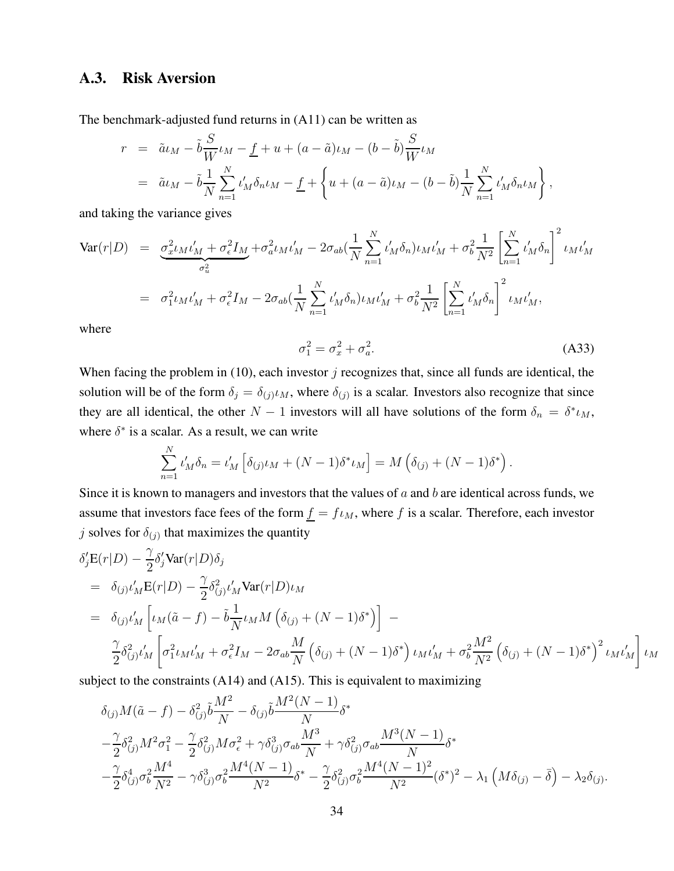### A.3. Risk Aversion

The benchmark-adjusted fund returns in (A11) can be written as

$$
r = \tilde{a}\iota_{M} - \tilde{b}\frac{S}{W}\iota_{M} - \underline{f} + u + (a - \tilde{a})\iota_{M} - (b - \tilde{b})\frac{S}{W}\iota_{M}
$$
  
=  $\tilde{a}\iota_{M} - \tilde{b}\frac{1}{N}\sum_{n=1}^{N}\iota'_{M}\delta_{n}\iota_{M} - \underline{f} + \left\{u + (a - \tilde{a})\iota_{M} - (b - \tilde{b})\frac{1}{N}\sum_{n=1}^{N}\iota'_{M}\delta_{n}\iota_{M}\right\},$ 

and taking the variance gives

$$
\begin{split}\n\text{Var}(r|D) &= \frac{\sigma_x^2 \iota_M \iota_M' + \sigma_\epsilon^2 I_M}{\sigma_u^2} + \sigma_a^2 \iota_M \iota_M' - 2\sigma_{ab} (\frac{1}{N} \sum_{n=1}^N \iota_M' \delta_n) \iota_M \iota_M' + \sigma_b^2 \frac{1}{N^2} \left[ \sum_{n=1}^N \iota_M' \delta_n \right]^2 \iota_M \iota_M' \\
&= \sigma_1^2 \iota_M \iota_M' + \sigma_\epsilon^2 I_M - 2\sigma_{ab} (\frac{1}{N} \sum_{n=1}^N \iota_M' \delta_n) \iota_M \iota_M' + \sigma_b^2 \frac{1}{N^2} \left[ \sum_{n=1}^N \iota_M' \delta_n \right]^2 \iota_M \iota_M', \\
\text{where}\n\end{split}
$$

$$
\sigma_1^2 = \sigma_x^2 + \sigma_a^2. \tag{A33}
$$

When facing the problem in (10), each investor  $j$  recognizes that, since all funds are identical, the solution will be of the form  $\delta_j = \delta_{(j)} \iota_M$ , where  $\delta_{(j)}$  is a scalar. Investors also recognize that since they are all identical, the other  $N-1$  investors will all have solutions of the form  $\delta_n = \delta^* \iota_M$ , where  $\delta^*$  is a scalar. As a result, we can write

$$
\sum_{n=1}^{N} \iota'_{M} \delta_{n} = \iota'_{M} \left[ \delta_{(j)} \iota_{M} + (N-1) \delta^{*} \iota_{M} \right] = M \left( \delta_{(j)} + (N-1) \delta^{*} \right).
$$

Since it is known to managers and investors that the values of  $a$  and  $b$  are identical across funds, we assume that investors face fees of the form  $\underline{f} = f \iota_M$ , where f is a scalar. Therefore, each investor j solves for  $\delta_{(j)}$  that maximizes the quantity

$$
\delta'_{j} \mathbf{E}(r|D) - \frac{\gamma}{2} \delta'_{j} \text{Var}(r|D) \delta_{j}
$$
\n
$$
= \delta_{(j)} \iota'_{M} \mathbf{E}(r|D) - \frac{\gamma}{2} \delta^{2}_{(j)} \iota'_{M} \text{Var}(r|D) \iota_{M}
$$
\n
$$
= \delta_{(j)} \iota'_{M} \left[ \iota_{M}(\tilde{a} - f) - \tilde{b} \frac{1}{N} \iota_{M} M \left( \delta_{(j)} + (N - 1) \delta^{*} \right) \right] - \frac{\gamma}{2} \delta^{2}_{(j)} \iota'_{M} \left[ \sigma^{2}_{1} \iota_{M} \iota'_{M} + \sigma^{2}_{\epsilon} I_{M} - 2 \sigma_{ab} \frac{M}{N} \left( \delta_{(j)} + (N - 1) \delta^{*} \right) \iota_{M} \iota'_{M} + \sigma^{2}_{b} \frac{M^{2}}{N^{2}} \left( \delta_{(j)} + (N - 1) \delta^{*} \right)^{2} \iota_{M} \iota'_{M} \right] \iota_{M}
$$

subject to the constraints (A14) and (A15). This is equivalent to maximizing

$$
\delta_{(j)}M(\tilde{a}-f) - \delta_{(j)}^2 \tilde{b}\frac{M^2}{N} - \delta_{(j)}\tilde{b}\frac{M^2(N-1)}{N}\delta^*
$$
  

$$
-\frac{\gamma}{2}\delta_{(j)}^2 M^2 \sigma_1^2 - \frac{\gamma}{2}\delta_{(j)}^2 M \sigma_\epsilon^2 + \gamma \delta_{(j)}^3 \sigma_{ab} \frac{M^3}{N} + \gamma \delta_{(j)}^2 \sigma_{ab} \frac{M^3(N-1)}{N}\delta^*
$$
  

$$
-\frac{\gamma}{2}\delta_{(j)}^4 \sigma_b^2 \frac{M^4}{N^2} - \gamma \delta_{(j)}^3 \sigma_b^2 \frac{M^4(N-1)}{N^2}\delta^* - \frac{\gamma}{2}\delta_{(j)}^2 \sigma_b^2 \frac{M^4(N-1)^2}{N^2}(\delta^*)^2 - \lambda_1 \left(M\delta_{(j)} - \bar{\delta}\right) - \lambda_2 \delta_{(j)}.
$$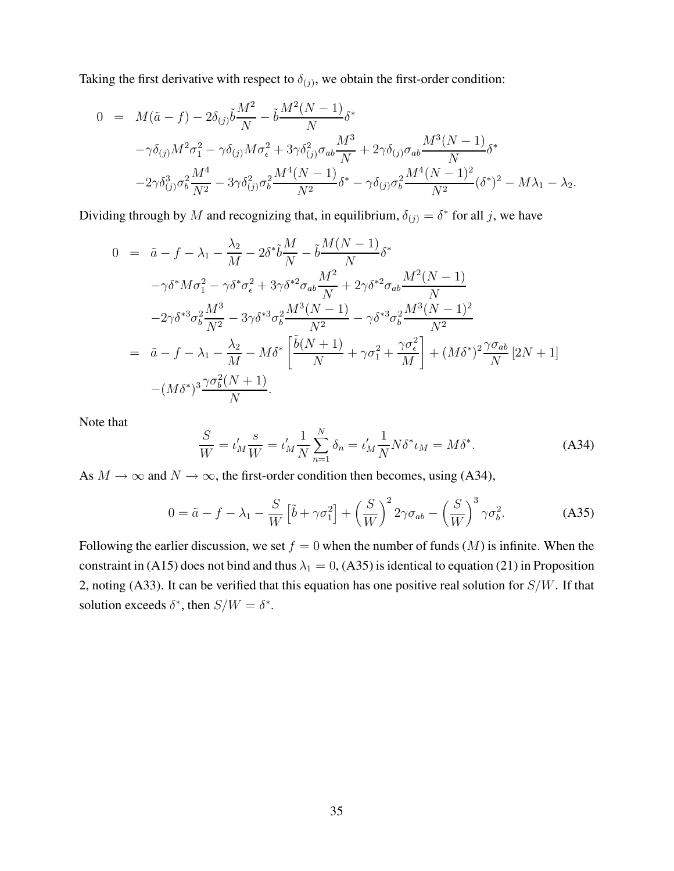Taking the first derivative with respect to  $\delta_{(j)}$ , we obtain the first-order condition:

$$
0 = M(\tilde{a} - f) - 2\delta_{(j)}\tilde{b}\frac{M^2}{N} - \tilde{b}\frac{M^2(N-1)}{N}\delta^*
$$
  

$$
-\gamma\delta_{(j)}M^2\sigma_1^2 - \gamma\delta_{(j)}M\sigma_\epsilon^2 + 3\gamma\delta_{(j)}^2\sigma_{ab}\frac{M^3}{N} + 2\gamma\delta_{(j)}\sigma_{ab}\frac{M^3(N-1)}{N}\delta^*
$$
  

$$
-2\gamma\delta_{(j)}^3\sigma_b^2\frac{M^4}{N^2} - 3\gamma\delta_{(j)}^2\sigma_b^2\frac{M^4(N-1)}{N^2}\delta^* - \gamma\delta_{(j)}\sigma_b^2\frac{M^4(N-1)^2}{N^2}(\delta^*)^2 - M\lambda_1 - \lambda_2.
$$

Dividing through by M and recognizing that, in equilibrium,  $\delta_{(j)} = \delta^*$  for all j, we have

$$
0 = \tilde{a} - f - \lambda_1 - \frac{\lambda_2}{M} - 2\delta^* \tilde{b} \frac{M}{N} - \tilde{b} \frac{M(N-1)}{N} \delta^*
$$
  
\n
$$
- \gamma \delta^* M \sigma_1^2 - \gamma \delta^* \sigma_\epsilon^2 + 3\gamma \delta^{*2} \sigma_{ab} \frac{M^2}{N} + 2\gamma \delta^{*2} \sigma_{ab} \frac{M^2(N-1)}{N}
$$
  
\n
$$
-2\gamma \delta^{*3} \sigma_b^2 \frac{M^3}{N^2} - 3\gamma \delta^{*3} \sigma_b^2 \frac{M^3(N-1)}{N^2} - \gamma \delta^{*3} \sigma_b^2 \frac{M^3(N-1)^2}{N^2}
$$
  
\n
$$
= \tilde{a} - f - \lambda_1 - \frac{\lambda_2}{M} - M \delta^* \left[ \frac{\tilde{b}(N+1)}{N} + \gamma \sigma_1^2 + \frac{\gamma \sigma_\epsilon^2}{M} \right] + (M \delta^*)^2 \frac{\gamma \sigma_{ab}}{N} [2N+1]
$$
  
\n
$$
-(M \delta^*)^3 \frac{\gamma \sigma_b^2(N+1)}{N}.
$$

Note that

$$
\frac{S}{W} = \iota'_M \frac{s}{W} = \iota'_M \frac{1}{N} \sum_{n=1}^N \delta_n = \iota'_M \frac{1}{N} N \delta^* \iota_M = M \delta^*.
$$
 (A34)

As  $M \to \infty$  and  $N \to \infty$ , the first-order condition then becomes, using (A34),

$$
0 = \tilde{a} - f - \lambda_1 - \frac{S}{W} \left[ \tilde{b} + \gamma \sigma_1^2 \right] + \left( \frac{S}{W} \right)^2 2\gamma \sigma_{ab} - \left( \frac{S}{W} \right)^3 \gamma \sigma_b^2.
$$
 (A35)

Following the earlier discussion, we set  $f = 0$  when the number of funds  $(M)$  is infinite. When the constraint in (A15) does not bind and thus  $\lambda_1 = 0$ , (A35) is identical to equation (21) in Proposition 2, noting (A33). It can be verified that this equation has one positive real solution for  $S/W$ . If that solution exceeds  $\delta^*$ , then  $S/W = \delta^*$ .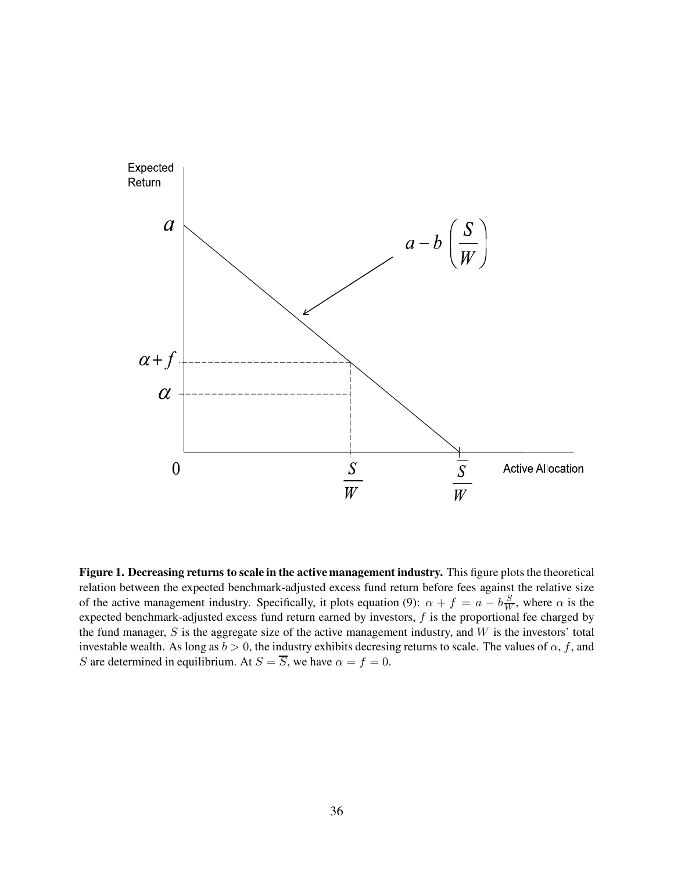

Figure 1. Decreasing returns to scale in the active management industry. This figure plots the theoretical relation between the expected benchmark-adjusted excess fund return before fees against the relative size of the active management industry. Specifically, it plots equation (9):  $\alpha + f = a - b\frac{S}{W}$ , where  $\alpha$  is the expected benchmark-adjusted excess fund return earned by investors,  $f$  is the proportional fee charged by the fund manager,  $S$  is the aggregate size of the active management industry, and  $W$  is the investors' total investable wealth. As long as  $b > 0$ , the industry exhibits decresing returns to scale. The values of  $\alpha$ , f, and S are determined in equilibrium. At  $S = \overline{S}$ , we have  $\alpha = f = 0$ .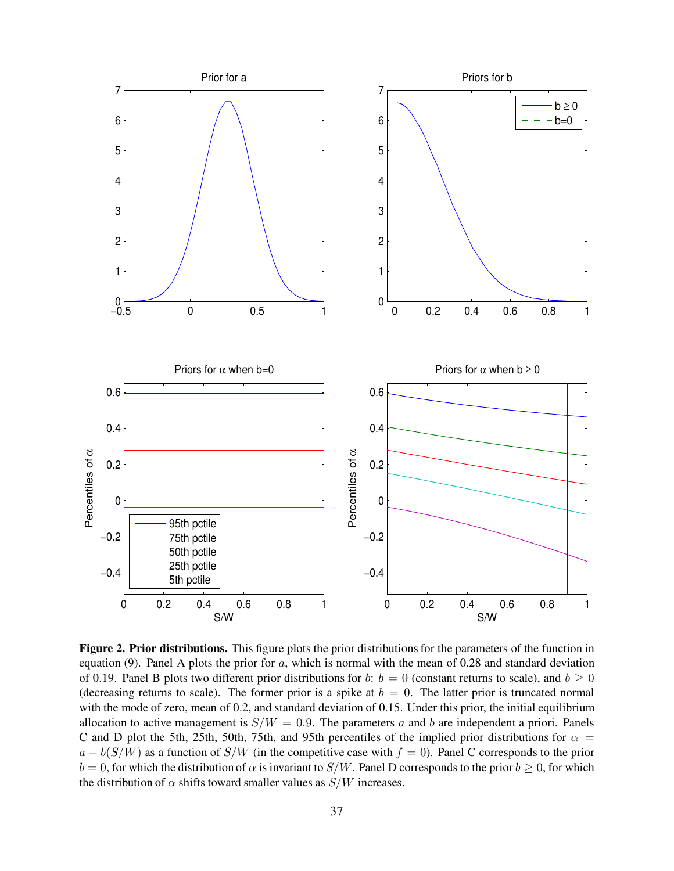

Figure 2. Prior distributions. This figure plots the prior distributions for the parameters of the function in equation (9). Panel A plots the prior for  $a$ , which is normal with the mean of 0.28 and standard deviation of 0.19. Panel B plots two different prior distributions for b:  $b = 0$  (constant returns to scale), and  $b \ge 0$ (decreasing returns to scale). The former prior is a spike at  $b = 0$ . The latter prior is truncated normal with the mode of zero, mean of 0.2, and standard deviation of 0.15. Under this prior, the initial equilibrium allocation to active management is  $S/W = 0.9$ . The parameters a and b are independent a priori. Panels C and D plot the 5th, 25th, 50th, 75th, and 95th percentiles of the implied prior distributions for  $\alpha$  =  $a - b(S/W)$  as a function of  $S/W$  (in the competitive case with  $f = 0$ ). Panel C corresponds to the prior  $b = 0$ , for which the distribution of  $\alpha$  is invariant to  $S/W$ . Panel D corresponds to the prior  $b \ge 0$ , for which the distribution of  $\alpha$  shifts toward smaller values as  $S/W$  increases.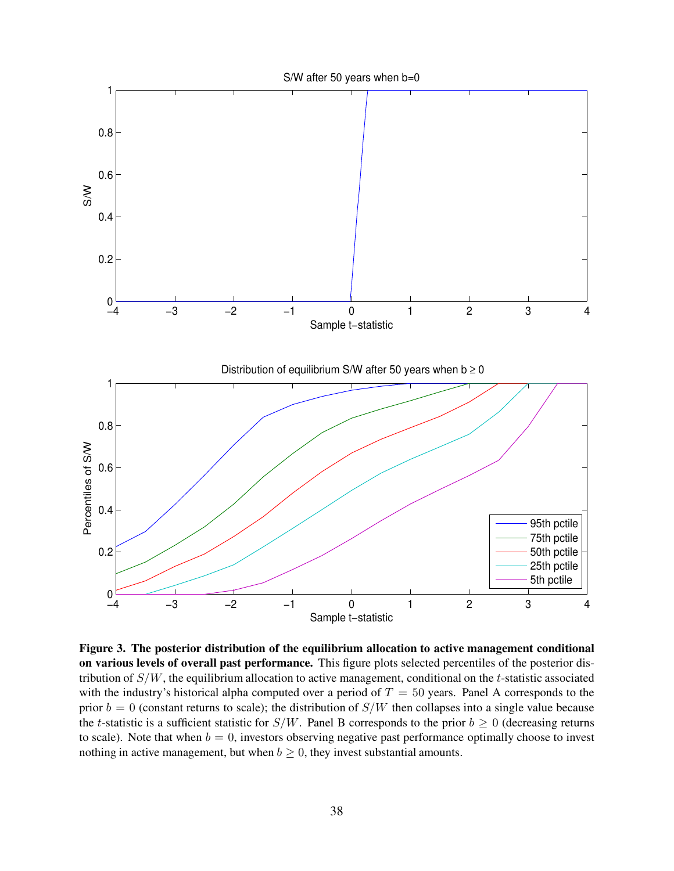

Figure 3. The posterior distribution of the equilibrium allocation to active management conditional on various levels of overall past performance. This figure plots selected percentiles of the posterior distribution of  $S/W$ , the equilibrium allocation to active management, conditional on the t-statistic associated with the industry's historical alpha computed over a period of  $T = 50$  years. Panel A corresponds to the prior  $b = 0$  (constant returns to scale); the distribution of  $S/W$  then collapses into a single value because the t-statistic is a sufficient statistic for  $S/W$ . Panel B corresponds to the prior  $b \ge 0$  (decreasing returns to scale). Note that when  $b = 0$ , investors observing negative past performance optimally choose to invest nothing in active management, but when  $b \geq 0$ , they invest substantial amounts.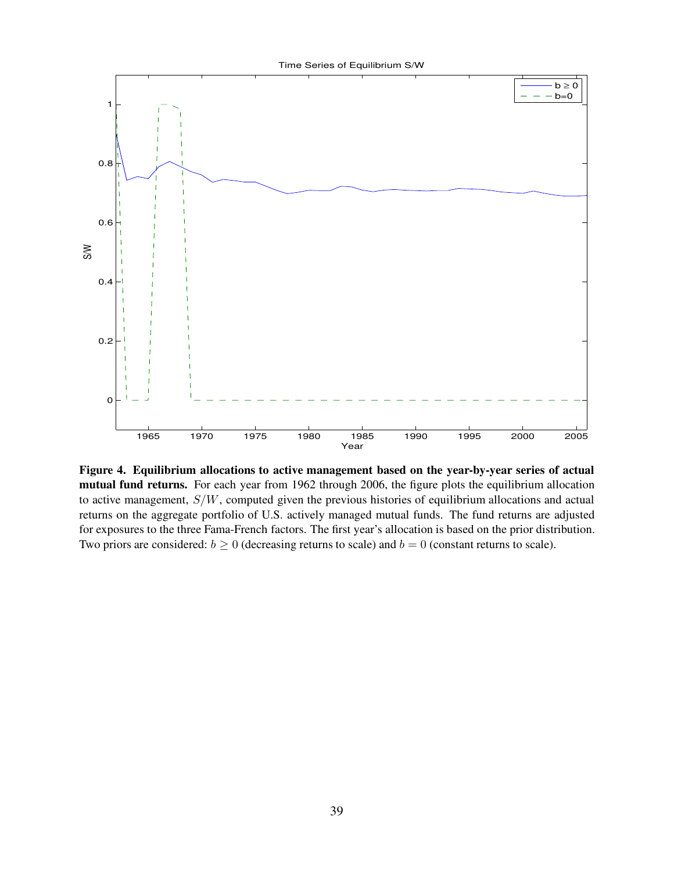

Figure 4. Equilibrium allocations to active management based on the year-by-year series of actual mutual fund returns. For each year from 1962 through 2006, the figure plots the equilibrium allocation to active management,  $S/W$ , computed given the previous histories of equilibrium allocations and actual returns on the aggregate portfolio of U.S. actively managed mutual funds. The fund returns are adjusted for exposures to the three Fama-French factors. The first year's allocation is based on the prior distribution. Two priors are considered:  $b \ge 0$  (decreasing returns to scale) and  $b = 0$  (constant returns to scale).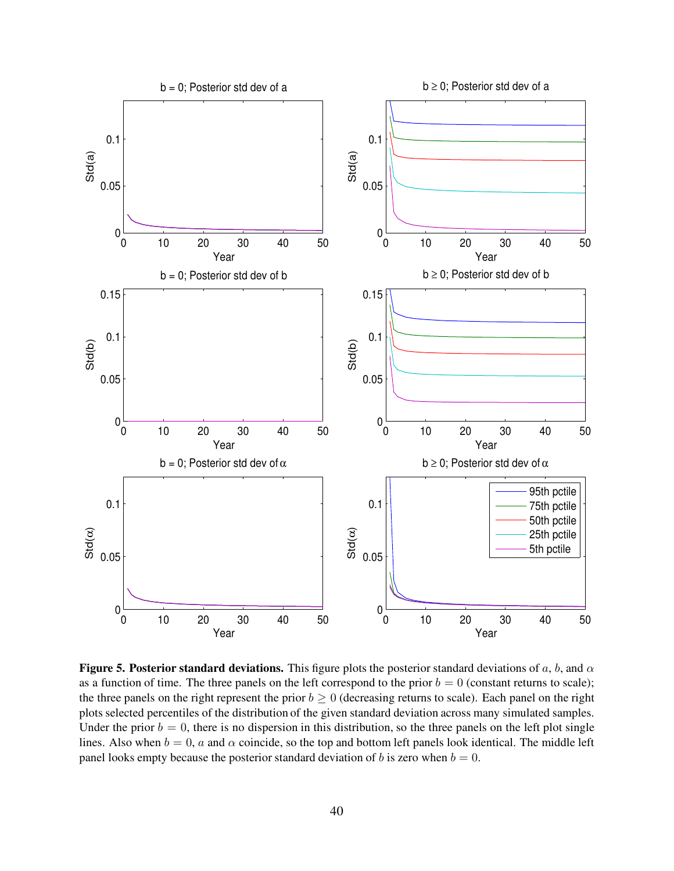

Figure 5. Posterior standard deviations. This figure plots the posterior standard deviations of a, b, and  $\alpha$ as a function of time. The three panels on the left correspond to the prior  $b = 0$  (constant returns to scale); the three panels on the right represent the prior  $b \ge 0$  (decreasing returns to scale). Each panel on the right plots selected percentiles of the distribution of the given standard deviation across many simulated samples. Under the prior  $b = 0$ , there is no dispersion in this distribution, so the three panels on the left plot single lines. Also when  $b = 0$ , a and  $\alpha$  coincide, so the top and bottom left panels look identical. The middle left panel looks empty because the posterior standard deviation of b is zero when  $b = 0$ .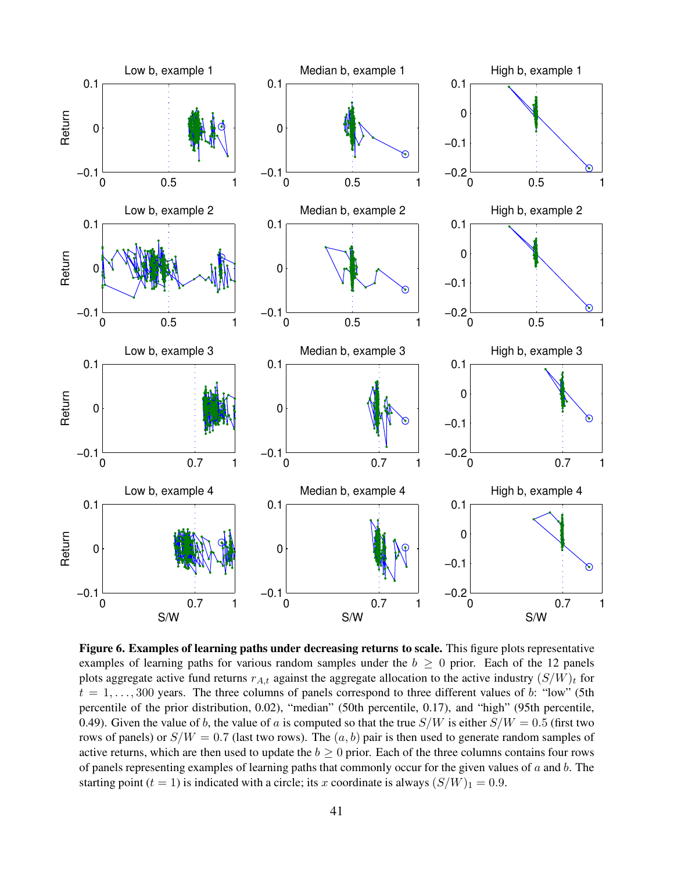

Figure 6. Examples of learning paths under decreasing returns to scale. This figure plots representative examples of learning paths for various random samples under the  $b \geq 0$  prior. Each of the 12 panels plots aggregate active fund returns  $r_{A,t}$  against the aggregate allocation to the active industry  $(S/W)_t$  for  $t = 1, \ldots, 300$  years. The three columns of panels correspond to three different values of b: "low" (5th percentile of the prior distribution, 0.02), "median" (50th percentile, 0.17), and "high" (95th percentile, 0.49). Given the value of b, the value of a is computed so that the true  $S/W$  is either  $S/W = 0.5$  (first two rows of panels) or  $S/W = 0.7$  (last two rows). The  $(a, b)$  pair is then used to generate random samples of active returns, which are then used to update the  $b \ge 0$  prior. Each of the three columns contains four rows of panels representing examples of learning paths that commonly occur for the given values of  $a$  and  $b$ . The starting point (t = 1) is indicated with a circle; its x coordinate is always  $(S/W)_1 = 0.9$ .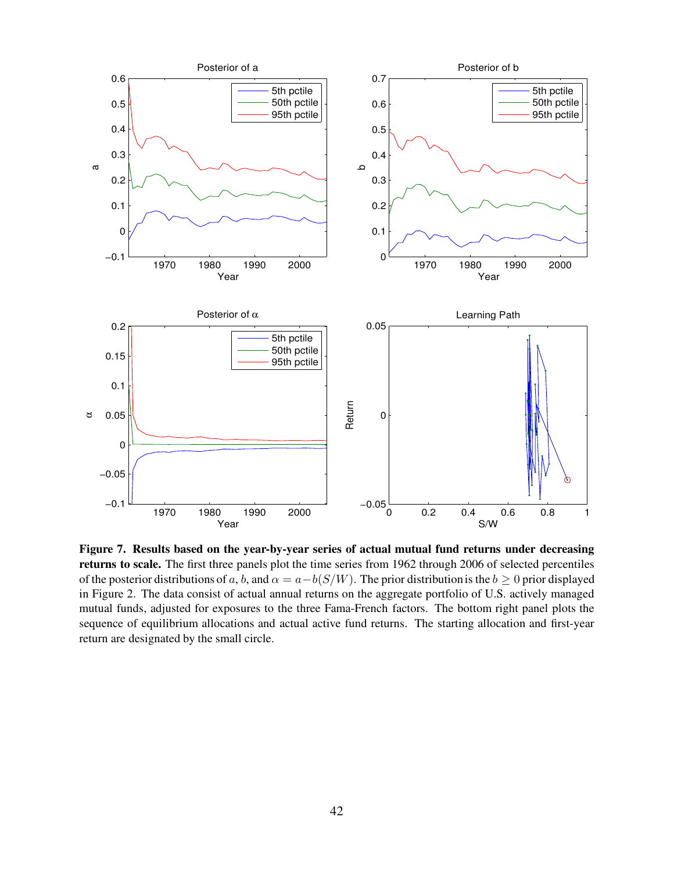

Figure 7. Results based on the year-by-year series of actual mutual fund returns under decreasing returns to scale. The first three panels plot the time series from 1962 through 2006 of selected percentiles of the posterior distributions of a, b, and  $\alpha = a - b(S/W)$ . The prior distribution is the  $b \ge 0$  prior displayed in Figure 2. The data consist of actual annual returns on the aggregate portfolio of U.S. actively managed mutual funds, adjusted for exposures to the three Fama-French factors. The bottom right panel plots the sequence of equilibrium allocations and actual active fund returns. The starting allocation and first-year return are designated by the small circle.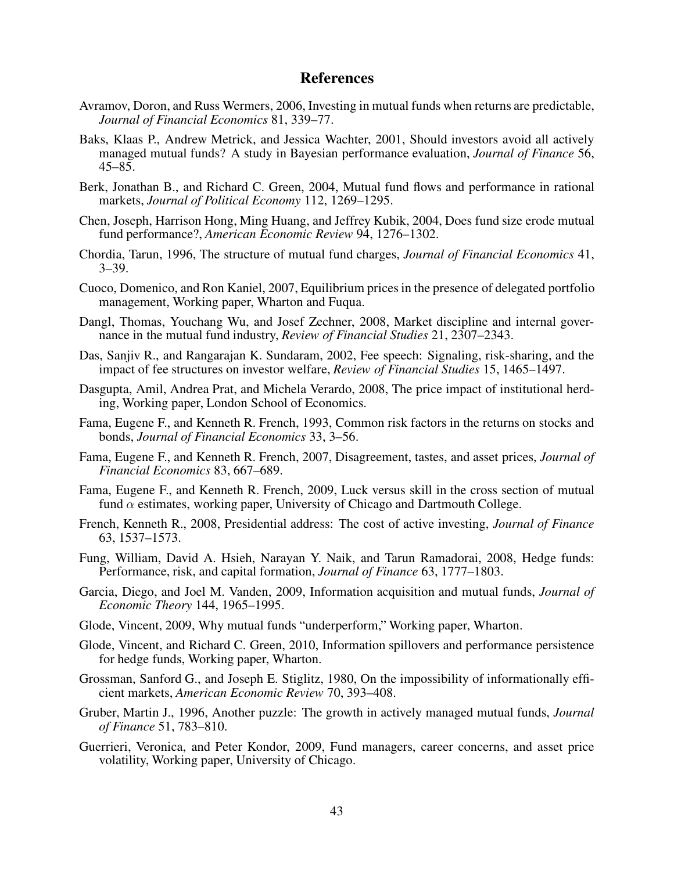#### References

- Avramov, Doron, and Russ Wermers, 2006, Investing in mutual funds when returns are predictable, Journal of Financial Economics 81, 339–77.
- Baks, Klaas P., Andrew Metrick, and Jessica Wachter, 2001, Should investors avoid all actively managed mutual funds? A study in Bayesian performance evaluation, *Journal of Finance* 56,  $45 - 85$ .
- Berk, Jonathan B., and Richard C. Green, 2004, Mutual fund flows and performance in rational markets, Journal of Political Economy 112, 1269–1295.
- Chen, Joseph, Harrison Hong, Ming Huang, and Jeffrey Kubik, 2004, Does fund size erode mutual fund performance?, American Economic Review 94, 1276–1302.
- Chordia, Tarun, 1996, The structure of mutual fund charges, Journal of Financial Economics 41,  $3 - 39.$
- Cuoco, Domenico, and Ron Kaniel, 2007, Equilibrium prices in the presence of delegated portfolio management, Working paper, Wharton and Fuqua.
- Dangl, Thomas, Youchang Wu, and Josef Zechner, 2008, Market discipline and internal governance in the mutual fund industry, Review of Financial Studies 21, 2307–2343.
- Das, Sanjiv R., and Rangarajan K. Sundaram, 2002, Fee speech: Signaling, risk-sharing, and the impact of fee structures on investor welfare, Review of Financial Studies 15, 1465–1497.
- Dasgupta, Amil, Andrea Prat, and Michela Verardo, 2008, The price impact of institutional herding, Working paper, London School of Economics.
- Fama, Eugene F., and Kenneth R. French, 1993, Common risk factors in the returns on stocks and bonds, Journal of Financial Economics 33, 3–56.
- Fama, Eugene F., and Kenneth R. French, 2007, Disagreement, tastes, and asset prices, Journal of Financial Economics 83, 667–689.
- Fama, Eugene F., and Kenneth R. French, 2009, Luck versus skill in the cross section of mutual fund  $\alpha$  estimates, working paper, University of Chicago and Dartmouth College.
- French, Kenneth R., 2008, Presidential address: The cost of active investing, Journal of Finance 63, 1537–1573.
- Fung, William, David A. Hsieh, Narayan Y. Naik, and Tarun Ramadorai, 2008, Hedge funds: Performance, risk, and capital formation, Journal of Finance 63, 1777–1803.
- Garcia, Diego, and Joel M. Vanden, 2009, Information acquisition and mutual funds, Journal of Economic Theory 144, 1965–1995.
- Glode, Vincent, 2009, Why mutual funds "underperform," Working paper, Wharton.
- Glode, Vincent, and Richard C. Green, 2010, Information spillovers and performance persistence for hedge funds, Working paper, Wharton.
- Grossman, Sanford G., and Joseph E. Stiglitz, 1980, On the impossibility of informationally efficient markets, American Economic Review 70, 393–408.
- Gruber, Martin J., 1996, Another puzzle: The growth in actively managed mutual funds, Journal of Finance 51, 783–810.
- Guerrieri, Veronica, and Peter Kondor, 2009, Fund managers, career concerns, and asset price volatility, Working paper, University of Chicago.